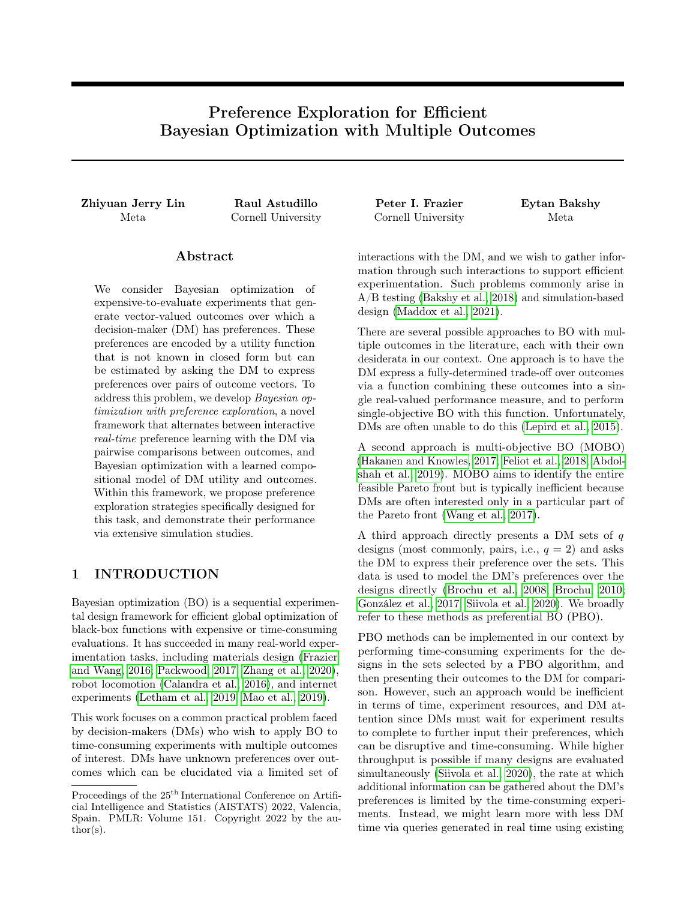# Preference Exploration for Efficient Bayesian Optimization with Multiple Outcomes

Zhiyuan Jerry Lin Raul Astudillo Peter I. Frazier Eytan Bakshy

# Abstract

We consider Bayesian optimization of expensive-to-evaluate experiments that generate vector-valued outcomes over which a decision-maker (DM) has preferences. These preferences are encoded by a utility function that is not known in closed form but can be estimated by asking the DM to express preferences over pairs of outcome vectors. To address this problem, we develop Bayesian optimization with preference exploration, a novel framework that alternates between interactive real-time preference learning with the DM via pairwise comparisons between outcomes, and Bayesian optimization with a learned compositional model of DM utility and outcomes. Within this framework, we propose preference exploration strategies specifically designed for this task, and demonstrate their performance via extensive simulation studies.

# 1 INTRODUCTION

Bayesian optimization (BO) is a sequential experimental design framework for efficient global optimization of black-box functions with expensive or time-consuming evaluations. It has succeeded in many real-world experimentation tasks, including materials design (Frazier and Wang, 2016; Packwood, 2017; Zhang et al., 2020), robot locomotion (Calandra et al., 2016), and internet experiments (Letham et al., 2019; Mao et al., 2019).

This work focuses on a common practical problem faced by decision-makers (DMs) who wish to apply BO to time-consuming experiments with multiple outcomes of interest. DMs have unknown preferences over outcomes which can be elucidated via a limited set of

Meta Cornell University Cornell University Meta

interactions with the DM, and we wish to gather information through such interactions to support efficient experimentation. Such problems commonly arise in A/B testing (Bakshy et al., 2018) and simulation-based design (Maddox et al., 2021).

There are several possible approaches to BO with multiple outcomes in the literature, each with their own desiderata in our context. One approach is to have the DM express a fully-determined trade-off over outcomes via a function combining these outcomes into a single real-valued performance measure, and to perform single-objective BO with this function. Unfortunately, DMs are often unable to do this (Lepird et al., 2015).

A second approach is multi-objective BO (MOBO) (Hakanen and Knowles, 2017; Feliot et al., 2018; Abdolshah et al., 2019). MOBO aims to identify the entire feasible Pareto front but is typically inefficient because DMs are often interested only in a particular part of the Pareto front (Wang et al., 2017).

A third approach directly presents a DM sets of  $q$ designs (most commonly, pairs, i.e.,  $q = 2$ ) and asks the DM to express their preference over the sets. This data is used to model the DM's preferences over the designs directly (Brochu et al., 2008; Brochu, 2010; González et al., 2017; Siivola et al., 2020). We broadly refer to these methods as preferential BO (PBO).

PBO methods can be implemented in our context by performing time-consuming experiments for the designs in the sets selected by a PBO algorithm, and then presenting their outcomes to the DM for comparison. However, such an approach would be inefficient in terms of time, experiment resources, and DM attention since DMs must wait for experiment results to complete to further input their preferences, which can be disruptive and time-consuming. While higher throughput is possible if many designs are evaluated simultaneously (Siivola et al., 2020), the rate at which additional information can be gathered about the DM's preferences is limited by the time-consuming experiments. Instead, we might learn more with less DM time via queries generated in real time using existing

Proceedings of the  $25<sup>th</sup>$  International Conference on Artificial Intelligence and Statistics (AISTATS) 2022, Valencia, Spain. PMLR: Volume 151. Copyright 2022 by the au- $\text{thor}(s)$ .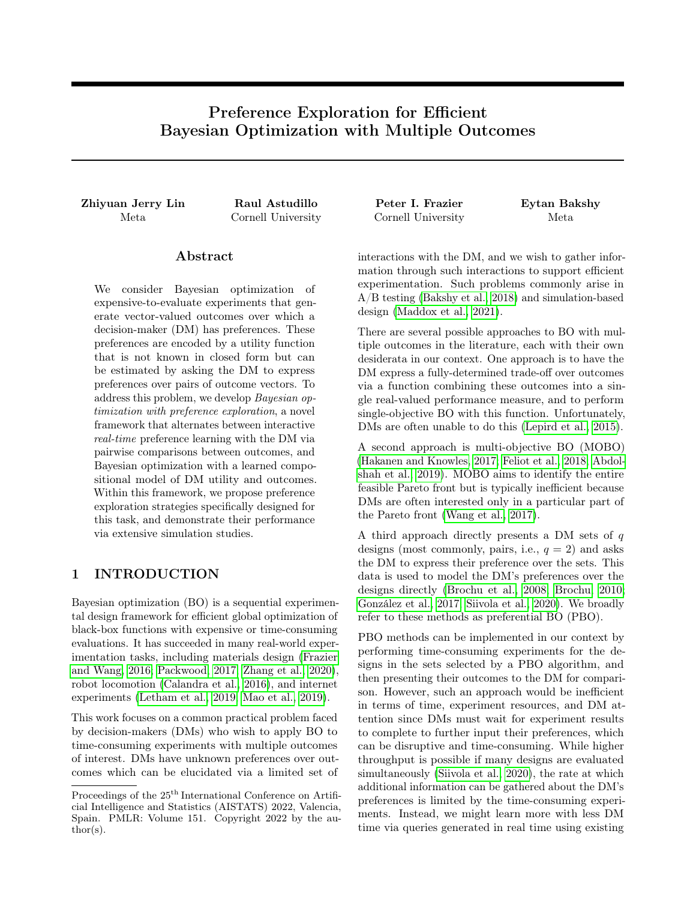or hypothetical outcomes based on previously observed experimental data.

Toward overcoming the drawbacks of the above discussed approaches, we propose a novel human-in-theloop algorithmic framework for optimizing multiple outcomes called Bayesian optimization with preference exploration (BOPE). In this framework, outcomes arise from a time-consuming-to-evaluate function  $f_{\text{true}}$ :  $\mathbb{R}^d$  !  $\mathbb{R}^k$ , and the DM's preferences can be viewed as originating from a utility function  $g_{\text{true}} : \mathbb{R}^k$  !  $\mathbb{R}$ , which is unknown but can be learned through the DM's responses to queries in the form of comparisons between outcomes<sup>1</sup>. The goal is to solve

$$
\max_{x \ge X} g_{\text{true}}(f_{\text{true}}(x)),\tag{1}
$$

where  $X$  $d$  is the *design space*, using a limited number of queries to the DM and experiments (i.e., evaluations of  $f_{\text{true}}$ ).

To do so, our framework iterates between two stages: preference exploration (PE) and experimentation. During a PE stage, an algorithm (a PE strategy) generates a query consisting of two outcome vectors (i.e., elements of **R** k ) for the DM to compare. The DM states their preferred outcome, and another query is presented in real time based on the result. Outcome vectors in these queries need not be generated by evaluating  $f_{true}$ . However, as we will see later, leveraging the available knowledge about  $f_{true}$  can significantly improve performance. During an experimentation stage, an experimentation strategy chooses a batch of points in the design space at which  $f_{\text{true}}$  is evaluated. In a PE stage, previous DM queries and past experiment evaluations are used to choose the outcome vectors about which DM preference is elicited. Similarly, in a experimentation stage, all information gathered by this point is used to determine design points that will be evaluated.

This approach provides four benefits. First, relative to PBO, it supports models that decompose the latent objective function into separate models of the outcomes and the DM's preferences over these outcomes. This can improve prediction relative to PBO. Second, it supports greater flexibility than PBO when selecting user queries. Queries can be selected adaptively after each batch of experiments and can include hypothetical outcomes generated via a predictive model of  $f_{\text{true}}$ , or outcomes of designs evaluated at previous points in time. Third, relative to MOBO, learned preferences allow focusing experimental attention on the relevant portion of the Pareto front, reducing the number of experiments needed. Finally, in comparison with MOBO, our approach automatically handles non-monotone pref-



Figure 1: Preference exploration for a problem with a two-dimensional outcome space. The heatmap illustrates the DM's utility function  $g_{true}(y)$  and the blue line circumscribes the space of possible outcomes achievable by  $f_{\text{true}}(x)$  for any design  $x \, 2 \, \chi$ . Evaluation of  $f_{true}$  ( ) is time-consuming. Our framework aims to collect preference data to support Bayesian optimization of  $g_{true}(f_{true}($ ) with the aid of probabilistic surrogate models of outcomes  $(f)$  and DM utilities  $(g)$ . s show outcome vectors presented to the DM by EUBO- $f$ , over multiple iterations. Each iteration queries regions likely to be of highest utility to the DM according to  $q$  within search sets defined by independent sample paths  $\tilde{f}$  from f (dashed loops). This procedure helps learn a g that may be used to select high-utility experiments.

erences over outcomes. This might arise, e.g., when designing a material that should neither be too stiff nor too flexible, or in drug discovery when a chemical's concentration in the blood should fall near a target.

This new workflow includes a key challenge unaddressed by prior work: how should preference information be gathered to best support optimization in such realworld contexts? Responding to this question, we examine several PE strategies and show that the most successful ones leverage information about the posterior distribution of outcomes achievable under  $f_{\text{true}}$ . Finally, we develop a one-step Bayes optimal PE strategy for collecting preference information to solve (1).

Figure 1 illustrates one of our proposed PE strategies, EUBO- $\hat{f}$ . Rather than performing preference learning across all possible outcome vectors, which would take many queries, EUBO- $\tilde{f}$  focuses on queries comparing outcomes that are likely to be achievable. This guides experiments toward regions of high utility to the DM in a small number of queries.

<sup>1</sup>For simplicity we consider pairwise comparisons, but generalizing BOPE to other comparisons is straightforward.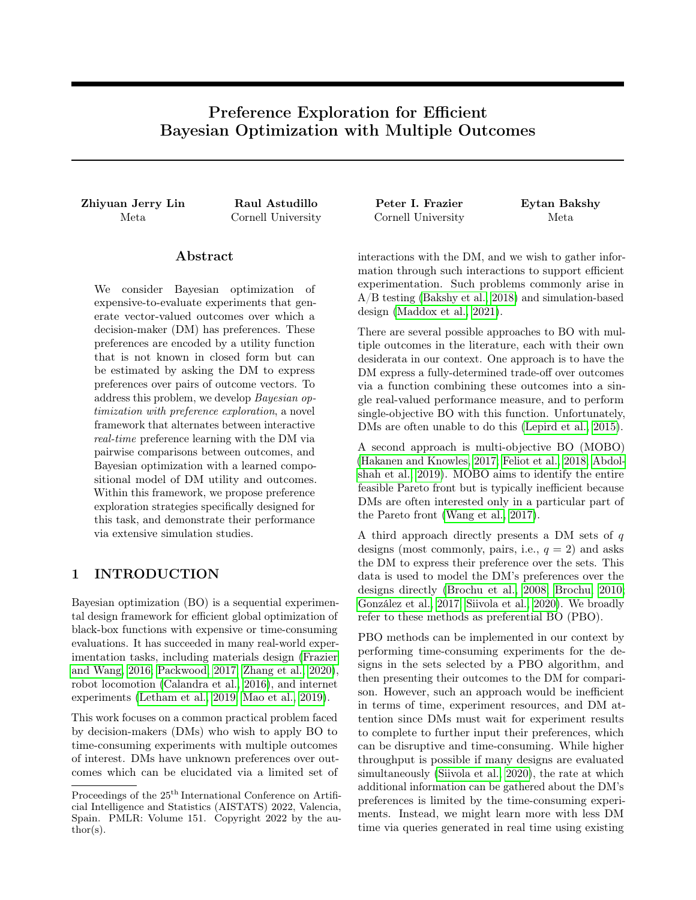Contributions Our contributions are as follows:

- We propose Bayesian optimization with preference exploration (BOPE), a novel human-in-the-loop framework for BO of time-consuming experiments that generate vector-valued outcomes over which a DM has unknown preferences. This framework reduces experimental cost and DM time over existing MOBO and PBO approaches.
- We develop a principled PE strategy for adaptively selecting queries to present to the DM. The DM's answers to these queries localize the parts of the achievable region of outcomes that are of importance to the DM, and enable selection of high-utility designs to evaluate via experimentation.
- We evaluate our approach on synthetic and realworld simulation problems, such as multi-objective vehicle design, demonstrating that PE-based approaches significantly outperform MOBO, PBO, and other natural baselines.

# 2 OTHER RELATED WORK

A related stream of research has developed techniques for efficient elicitation of the DM's preferences over outcomes that are known a priori without the need for expensive evaluation (Chajewska et al., 2000; Boutilier, 2002; Fürnkranz and Hüllermeier, 2003; Chu and Ghahramani, 2005; Viappiani and Boutilier, 2010; Dewancker et al., 2016). While we leverage ideas from these works, they are not directly applicable in our setting, where outcomes are unknown and expensive-toevaluate. Additionally, most of this literature assumes that there are a finite number of outcome vectors, while our space of potential outcomes is uncountably infinite.

Our work builds on Astudillo and Frazier (2020) and Lin et al. (2020). The former considers sequential BO of vector-valued functions on behalf of a DM with unknown preferences using the same decomposition of outcomes and utilities considered here and proposes a strategy for the experimentation stage only. The present paper builds off of a previous workshop paper by Lin et al. (2020) which considers a similar problem setup as Astudillo and Frazier (2020) but focuses on batch-based PE and experimentation to support the types of workflows found in industry A/B testing settings. The present paper formalizes this setup, and provides a principled solution to the problem.

Finally, due to the composite structure of problem (1), our work is also related to BO of composite objective functions (Astudillo and Frazier, 2019, 2021a,b), and we leverage similar computational techniques.

# 3 BO WITH PREFERENCE EXPLORATION

Here, we describe our framework, including the workflow and core models, and introduce key considerations for the design of strategies for PE and experimentation.

#### 3.1 Workflow

In our framework, the goal is to find a solution to (1) by learning the functions  $g_{true}$  and  $f_{true}$  while alternating between two stages: preference exploration and experimentation.

A PE stage is a short uninterrupted period of time in which the DM interactively expresses preferences over multiple pairs of outcome vectors that does not involve the collection of new values from  $f_{\text{true}}$ . We refer to the pair of outcome vectors presented to the DM as a query and to the DM's answer as the response.

An experimentation stage is a period of time in which one or more evaluations of the outcome function  $f_{true}$ are performed, typically in parallel. Our presentation assumes that PE and experimentation stages alternate. As a special case, this can include situations where PE is performed only once after an initial round of experimentation, so as to take the human out of the loop for subsequent experiments. For example, in the context of internet experimentation, an experimentation stage would entail running a batch of A/B tests in parallel and a PE stage could be an interactive session with a data scientist where pairs of (potentially hypothetical) experimental outcomes are compared.

Once all PE and experimentation stages are complete, the DM is shown the outcome vectors for all experiments that have been performed, and the DM selects their preferred design.2

#### 3.2 Outcome and Preference Models

We utilize two probabilistic surrogate models, one for the outcome function,  $f_{\text{true}}$ , and one for the utility function,  $g_{true}$ .

To model the outcome function,  $f_{true}$ , we use a multioutput Gaussian process  $(GP)$ ,  $f$ , characterized by a prior mean function  $\mu_0^f : X \neq \mathbb{R}^k$ , and a prior covariance function,  $K_0^f: X \times X \neq \mathbb{R}^{k-k}$ . Given a dataset of  $n$  (potentially noisy) observations of the outcome function,  $D_n = f(x_i, y_i)g_{i=1}^n$ , the probabilistic surrogate model of  $f_{true}$  is then given by the posterior distribution of f given  $D_n$ , which is again a multi-output GP

<sup>&</sup>lt;sup>2</sup>In practice, the learned utility may be used to rank these items in advance to reduce the cognitive burden of sorting through all evaluated designs.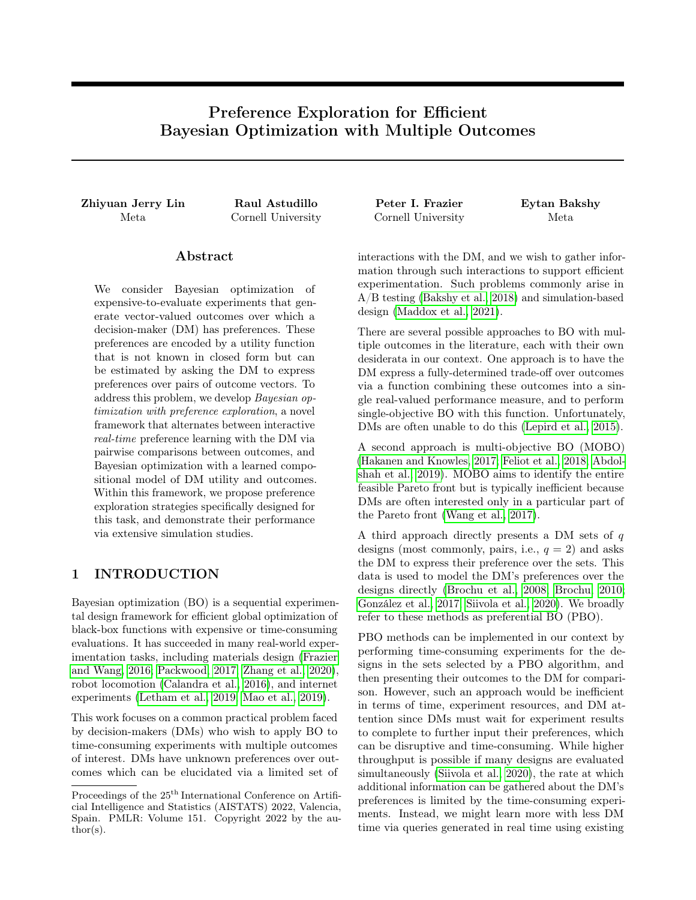,

with mean and covariance functions  $\mu_n^f: X \neq \mathbb{R}^k$  and  $K_n^f: X \times \mathcal{X} \neq \mathbb{R}^k$  that can be computed in closed form in terms of  $\mu_0^f$  and  $K_0^f$ .

The utility function,  $g_{true}$ , is also modeled using a GP, g, which again requires specifying a prior mean function,  $\mu_0^g : \mathbb{R}^{\overline{k}}$  !  $\mathbb{R}$ , and a prior covariance function,  $K_0^g: \mathbb{R}^k \times \mathbb{R}^k$  /  $\mathbb{R}$ .

Given a query  $(y_1, y_2)$  constituted by two outcome vectors, we let  $r(y_1, y_2) \n\mathcal{Z} f_1$ , 2q indicate whether the DM preferred the first or second outcome vector offered. Following Chu and Ghahramani (2005), we assume that the DM's responses are distributed according to a probit likelihood of the form

$$
\mathbb{P}(r(y_1, y_2) = 1 \, \text{if } g(y_1), g(y_2)) = \Phi \quad \frac{g(y_1)}{\overline{2}\lambda} \frac{g(y_2)}{\overline{2}\lambda}
$$

where  $\lambda$  is a hyperparameter that can be estimated along with the other hyperparameters of the model, and  $\Phi$  is the standard normal CDF.

In our experiments, we use the Laplace approximation suggested by Chu and Ghahramani (2005), which results in an approximate posterior of q that is again a GP. When we have observed the results of  $m$  queries,  $P_m = f(y_{1,j}, y_{2,j}, r(y_{1,j}, y_{2,j}))$   $g_{j=1}^m$ , we let  $\mu_m^g$  and  $K_m^g$ refer to the mean and covariance functions of this approximate GP posterior.

#### 3.3 Preference Exploration Strategies

Preference exploration strategies aim to select queries  $(y_1, y_2)$  2 Y Y, where Y  $\mathbb{R}^k$ , so as to best support experiment selection. Here, we introduce three classes of PE strategies investigated in this work.

PE Strategies That Learn Preferences Over a Prior Region of Interest Our first class of PE strategies requires choosing a prior set Y likely to contain most or all of the achievable region  $f_{true}(X) =$  $f_{true}(x) : x \geq \chi_{g}$  so that preferences over Y are highly informative of preferences over  $f_{\text{true}}(\chi)$ . It then chooses queries to learn DM preferences over Y. In the simplest case, Y can be a hyperrectangle bounding a likely minimum and maximum for each outcome provided by the DM. Alternatively, Y could be estimated via a meta-analysis of related experiments, and could also incorporate information about how outcomes covary across experiments.

There is a tradeoff in choosing the bounds of Y. Choosing  $Y$  to be too small risks excluding relevant potential outcomes. Choosing Y to be much larger than  $f_{\text{true}}(X)$ can cause over-exploration of areas not relevant to the optimization task. This may occur with hyperrectangular Y if correlated outcomes make  $f_{\text{true}}(X)$ much smaller than Y.

Two policies for generating queries to learn preferences over Y are: selecting queries uniformly at random over Y Y; and selecting queries by maximizing an active learning acquisition function (AF) such as Bayesian active learning by disagreement (BALD) (Houlsby et al., 2011) over  $Y Y$ .

PE Strategies That Leverage Direct Experimental Data Another class of PE strategies samples many plausible achievable regions based on data from  $f_{\text{true}}$ . For each such region Y, it seeks to learn the DM's preferences over Y. Learning these preferences allows us to eventually learn the best point in the true achievable region, despite not knowing this region.

Probabilistic surrogate models provide a natural mechanism for sampling plausible achievable regions. In many PE strategies considered here, for each preference query, a GP sample path  $f$  is first drawn from f, implying an associated achievable region  $Y = f(X)$ . Then a query is designed to improve our knowledge of the DM's most preferred design in Y. Compared to the former class of PE strategies that learn preferences over a prior region of interest, this approach aims to reduce the number of queries needed by learning a separate ranking over many smaller sets Y. As we learn more about the achievable region through experimentation, the sequence of sampled sets Y concentrates, further reducing the size of the query space.

We consider three strategies for learning preferences over  $Y = \hat{f}(X)$ : random search, BALD, and a novel AF called EUBO which is introduced in §4.1 and aims to find the best query over a known set of outcomes. §4.3 also derives an approximation of a one-step optimal AF for BOPE that has a similar structure but uses a different choice of Y.

Optimization of PE AFs Several of the PE strategies discussed above require optimizing an AF  $\alpha$  over  $Y$  Y. In several cases, Y can be written as  $Y = fh(x)$ :  $x \nightharpoonup \chi$  at  $\chi$  for some deterministic function h. This makes optimization convenient, since is allows for optimization over a known domain, X:  $\arg\max_{y_1, y_2 \ge Y} \alpha(y_1, y_2)$  =  $argmax_{x_1,x_2\geq x} \alpha(h(x_1), h(x_2))$ . Thus, to find the maximizer of  $\alpha(y_1, y_2)$  over  $y_1, y_2 \nightharpoonup Y$ , it is sufficient to find the maximizer of  $\alpha(h(x_1), h(x_2))$  over  $x_1, x_2 \nightharpoonup X$ .

#### 3.4 Experiment Selection Strategies

Here, we discuss the strategy we use to select the designs at which  $f_{\text{true}}$  is evaluated during the experimentation stages. Since the focus of our work is on PE strategies, we restrict our attention to a single experiment selection strategy. We propose a generalization of the expected improvement under utility uncertainty (EIUU) AF, introduced by Astudillo and Frazier (2020),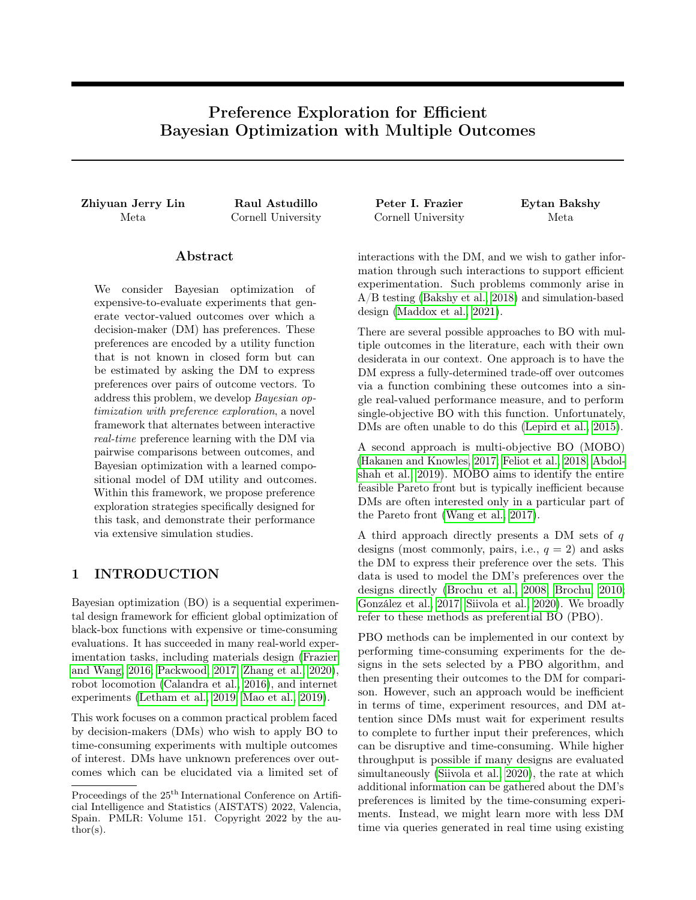to support noisy and parallel evaluations with a nonparametric utility model g. This AF integrates over the uncertainty of both  $f$  and  $g$  when selecting the design points.

Formally, for a batch of q points  $x_{1:q} = (x_1, \ldots, x_q)$  2  $X^q$ , this AF is defined by

$$
qNEIUU(x_{1:q})n =
$$
  
 
$$
\mathbb{E}_{m:n} \quad \text{fmax } g(f(x_{1:q})) \quad \text{max } g(f(X_n))g^+ ,
$$

where  $\mathbb{E}_{m,n}[\ ] = \mathbb{E}[\ ]/\ P_m, D_n]$  denotes the conditional expectation given the data from  $m$  queries and *n* experiments,  $fg^+$  denotes the positive part function, and, making a slight abuse of notation, we define  $\max g(f(x_{1:q})) = \max_{i=1,\ldots,q} g(f(x_i))$  and  $\max g(f(X_n)) = \max_{(x,y) \ge D_n} g(f(x)).$ 

qNEIUU can be straightforwardly implemented as a Monte Carlo AF by applying the reparametrization trick to both  $f$  and  $g$ , and optimized via sample average approximation (SAA) (Wilson et al., 2018; Balandat et al., 2020). We refer the reader to §A.1 in the supplementary material (SM) for more details on the implementation of qNEIUU.

# 4 ONE-STEP OPTIMAL PREFERENCE EXPLORATION

Here we present a principled PE strategy derived using a one-step Bayes optimality analysis. We begin by describing a one-step optimal strategy for learning preferences over a known set of outcome vectors as well as results regarding its efficient computation. We then propose a one-step optimal PE strategy that formally accounts for uncertainty over the set of achievable outcomes. This strategy is not practical for real-time learning, but we provide a faster principled approximation using insights developed in the case with known achievable outcomes.

#### 4.1 Preference Exploration Over a Known Set of Outcomes

Here we assume that the space of achievable outcomes is known and denote it by Y.

To motivate our AF, we ask the following rhetorical question: If we had to offer a single outcome vector  $y \sim 2$  Y to the DM using the available information so far, what would the right choice be? We argue that a sensible choice is  $y$  so that the expected utility received by the DM is maximal; i.e.,  $y \quad 2 \text{ argmax}_{y \ge Y} \mathbb{E}_m[g(y)],$ where  $\mathbb{E}_m$  denotes the conditional expectation given  $P_m$  (i.e.,  $\mathbb{E}_m[\ ] = \mathbb{E}[\ ]/P_m]$ ). Following this logic, if we were allowed to ask an additional query  $(y_1, y_2)$ and observe the DM's response  $r(y_1, y_2)$ , y would now be chosen so that  $y \quad 2 \text{ argmax}_{y \ge Y} \mathbb{E}_{m+1}[g(y)]$ , where  $\mathbb{E}_{m+1}[ ] = \mathbb{E}[ f P_m [ f(y_1, y_2, r(y_1, y_2))g].$  Thus,

$$
\max_{y \ge Y} \mathbb{E}_{m+1}[g(y)] \quad \max_{y \ge Y} \mathbb{E}_m[g(y)]
$$

quantifies the difference in (expected) utility obtained by the DM due to the additional query. Our AF can now be defined as the expectation of this difference given the information available so far; i.e.,

$$
V(y_1, y_2) = \mathbb{E}_m \max_{y \ge Y} \mathbb{E}_{m+1}[g(y)] \max_{y \ge Y} \mathbb{E}_m[g(y)] ,
$$

where the dependence of the right-hand-side on  $(y_1, y_2)$  is made implicit by our notation  $\mathbb{E}_{m+1}[\ ] =$  $\mathbb{E} \left[ \int P_m \int f(y_1, y_2, r(y_1, y_2)) g \right]$ . We also note that the term  $\max_{y \geq Y} \mathbb{E}_{m}[g(y)]$  does not depend on  $(y_1, y_2)$  and thus can be disregarded when maximizing  $V$ . This AF can be considered to be in the knowledge gradient family of AFs (Frazier, 2018), because it values information according to its impact on the maximum posterior expected utility.

#### 4.1.1 Expected Utility of the Best Outcome

The acquisition function  $V$  defined above is challenging to maximize directly due to its nested structure, as is typical of knowledge gradient AFs. Fortunately, the following theorem shows that maximizing  $V$  is equivalent to maximizing another AF that is easier to optimize.

We define the *expected utility of the best option (EUBO)*,

$$
EUBO(y_1, y_2) = \mathbb{E}_m[\max f g(y_1), g(y_2)g],
$$

where the expectation is over the posterior of the DM utility  $g$  at the time the query is chosen.  $V$  and EUBO are related via the following result.

**Theorem 1.** If  $\lambda = 0$ , and the posterior mean  $\mu_m^g$  and posterior covariance  $K_m^g$  are both continuous, then

$$
\underset{y_1, y_2 \supset Y}{\text{argmax}} \text{EUBO}(y_1, y_2) \quad \underset{y_1, y_2 \supset \mathbb{R}^k}{\text{argmax}} V(y_1, y_2)
$$

and the left-hand side is non-empty.

Thus, the above result shows that, when DM responses occur without error, one can find a maximizer of  $V$  by maximizing EUBO instead, which, as we argue below, is a significantly simpler task. While this holds for  $\lambda = 0$  only, the following result shows that maximizing EUBO yields a high-quality solution even if  $\lambda > 0$ .

Theorem 2. Denote V as V to make the dependence on  $\lambda$  explicit, and let  $(y_1, y_2)$  2  $argmax_{y_1, y_2} EUBO(y_1, y_2)$ . Then,

$$
V(y_1, y_2) \max_{y_1, y_2 \ge Y} V_0(y_1, y_2) \quad \lambda C,
$$
  
where  $C = e^{-1/2} \Big/ \frac{D}{2}$ .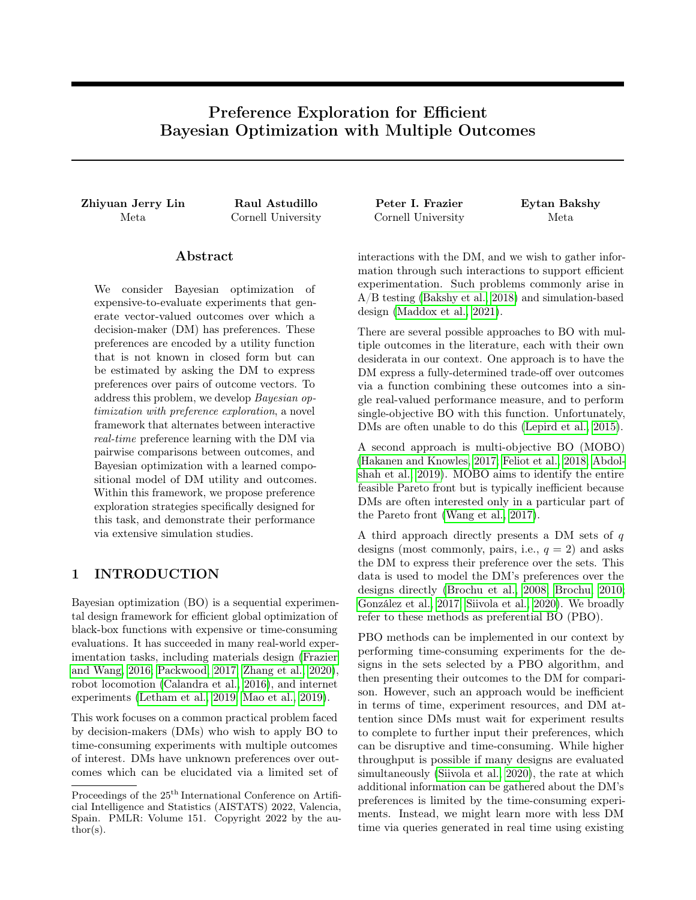Theorem 2 provides a lower bound on the acquisition value of a maximizer of EUBO evaluated at V in the presence of comparison noise. The proofs of Theorems 1 and 2 can be found in the SM §B.

Maximizing EUBO is easier than  $V$  for two reasons. First, computing EUBO does not require solving the inner optimization problem  $\max_{y \ge Y} \mathbb{E}_{m+1}[g(y)]$  required by  $V$ . Second, EUBO can be expressed in closed form under the approximate Gaussian posterior of  $g$  implied by the Laplace approximation, as shown in SM §B.2.1.

### 4.2 Preference Exploration Under an Unknown Set of Achievable Outcomes

We now describe a PE strategy that formally takes into account uncertainty on the set of achievable outcomes. To support our analysis, here we assume that evaluations of the outcome function are noise-free.

As in the previous subsection, we derive a PE strategy using a one-step optimality analysis. Formally, this strategy selects the query  $(y_1, y_2)$  that is optimal with respect to the following sequence of actions (which constitute one step):

- 1. Select query  $(y_1, y_2) \supseteq \mathbb{R}^k$   $\mathbb{R}^k$  and observe DM's response  $r(y_1, y_2)$ ,
- 2. Select design  $x \, 2 \, X$  and observe outcome  $f(x)$ ,
- 3. Obtain reward  $\max_{i=1,...;n+1} \mathbb{E}_{m+1;n+1}[g(f(x_i))],$ where we define  $x_{n+1} = x$  and  $\mathbb{E}_{m+1,n+1}$ [ ] denotes  $E[i] P_m [ f(y_1, y_2, r(y_1, y_2))g, D_n [ f(x, f(x))g].$

The optimal query can be found by solving  $\max_{y_1, y_2 \geq \mathbb{R}^k} W(y_1, y_2)$ , where

$$
W(y_1, y_2)
$$
  
= $\mathbb{E}_{m;n}[\max_{x_{n+1}, y_1} \mathbb{E}_{m+1;n}[\max_{j=1,\dots,n+1} \mathbb{E}_{m+1;n+1}[g(f(x_j))]]]$ 

and  $\mathbb{E}_{m+1,n}[\ ] = \mathbb{E}[\ ]/P_m[\ ] f(y_1,y_2,r(y_1,y_2))g, D_n]$ 

This strategy is similar in spirit to the one described in the previous subsection. However, there are two key differences, which originate due to the set of achievable outcomes being unknown. First, there is an additional action between query selection and reward collection. Here, one additional evaluation of the outcome function is performed, thus enforcing the need to gather preference information to support experimentation (i.e., evaluations of the outcome function). Second, since the set of achievable outcomes is unknown, the reward is computed over the outcomes observed so far only.

#### 4.3 Efficient Approximate Maximization of W Via a Single-Sample Approximation

Unsurprisingly,  $W$  is quite hard to compute and optimize due to its nested structure. In principle, one could aim to adapt optimization strategies for lookahead AFs (see, e.g., Balandat et al. 2020; Jiang et al. 2020). However, these methods are quite computationally expensive, with run times on the order of several minutes per acquisition, making them impractical in the context of real-time PE. Instead, we derive an efficient approximate optimization scheme based on a single-sample approximation of  $W$  with respect to the uncertainty on  $f(x_{n+1})$ .

Leveraging the approximate GP distribution over g induced by the Laplace approximation, we write  $\mathbb{E}_{m+1,n+1}[g(f(x_i))]$  as  $\mu_{m+1}^g(f(x_i))$  for  $i=1,\ldots,n+1,3$ and define  $\mu_{m+1;n} = \max_{i=1;...;n} \mu_{m+1}^g(f(x_i))$ . Applying the reparametrization trick on  $f(x_{n+1})$ , W can be rewritten as

$$
W(y_1, y_2) =
$$
  
\n
$$
\mathbb{E}_{m,n}[\max_{x \geq X} \mathbb{E}_{m+1,n}[\max f \mu_{m+1,n}, \mu_{m+1}^g(\zeta_n(x; Z))g]],
$$

where  $\zeta_n(x; Z) = \mu_n^f(x) + C_n^f(x)Z$ ,  $C_n^f(x)$  is the lower Cholesky factor of  $K_n^f(x, x)$ , and the (conditional) distribution of  $Z$  is the standard normal. In the expression above, the inner expectation is over Z and the outer expectation is over  $r(y_1, y_2)$ .

If we approximate the expression above using a single sample from  $Z$ , which we denote by  $Z$ , and making a slight abuse of notation, we obtain the approximation  $W(y_1, y_2)$   $W(y_1, y_2; \tilde{Z})$ , where

$$
W(y_1, y_2; \tilde{Z}) =
$$
  
\n
$$
\mathbb{E}_{m;n}[\max_{X \ge X} \max f \mu_{m+1;n}, \mu_{m+1}^g(\zeta_n(x; \tilde{Z}))g],
$$

and  $\tilde{Z}$  is deterministic in the expectation above. Moreover, since  $\zeta_n(x_i; \tilde{Z}) = f(x_i)$  for previously evaluated points  $i = 1, \ldots, n$ ,  $\max_{x \geq x} \mu_{m+1}^g(\zeta_n(x; \tilde{Z})) \mu_{m+1,n}$ and thus  $\max_{x \geq X} \max \hat{\mu}_{m+1,n}, \mu^g_{m+1}(\zeta_n(x; \tilde{Z}))g$  can be simplified to  $\max_{x \geq X} \mu_{m+1}^g(\zeta_n(x;\tilde{Z}))$ . Thus,

$$
W(y_1, y_2; \tilde{Z}) = \mathbb{E}_{m,n}[\max_{x \ge X} \mu_{m+1}^g(\zeta_n(x; \tilde{Z}))].
$$

We can now use the machinery developed in §4.1 to efficiently maximize  $W(y_1, y_2; \tilde{Z})$ . Concretely, if we let  $Y = f\zeta_n(x;\tilde{Z}) : x \geq \chi_{\tilde{G}}$ , it follows from Theorem 1 that  $\operatorname{argmax}_{y_1, y_2, 2}$  EUBO $(y_1, y_2)$  $\argmax_{y_1, y_2 \ge Y} W(y_1, y_2; Z)$  when  $\lambda = 0$ . Analogously,

<sup>3</sup>We leverage this closed form expression to simplify our notation but this is not critical. Our analysis holds even if  $\mathbb{E}_{m+1,n+1}[g(f(x_i))]$  does not have a closed form expression.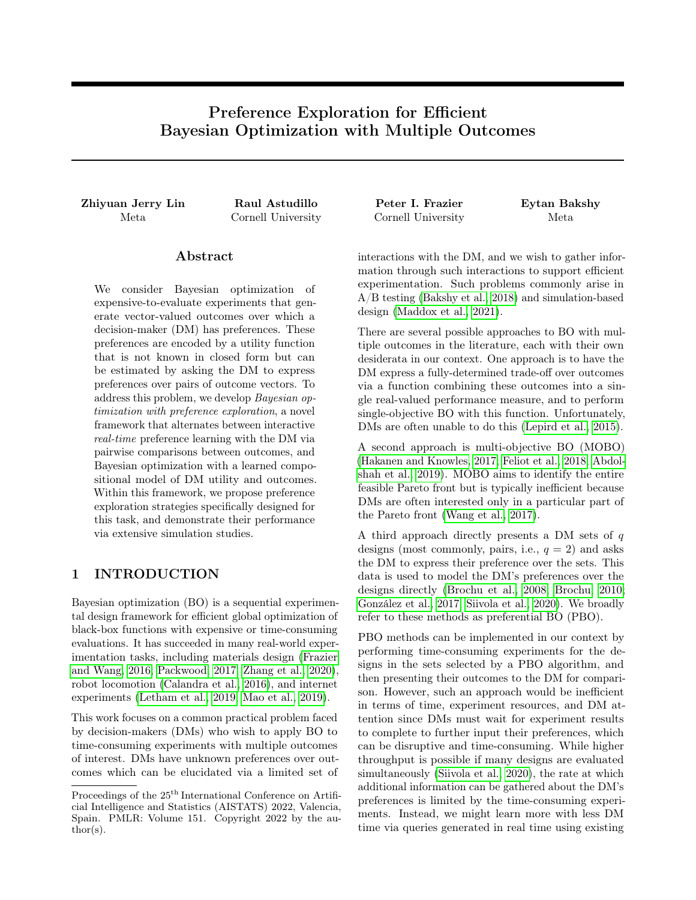Theorem 2 provides a guarantee on the quality of a query in  $\arg\max_{y_1, y_2 \ge Y} \text{EUBO}(y_1, y_2)$  when  $\lambda > 0$ . We call the resulting  $\overrightarrow{PE}$  strategy EUBO- $\zeta$ .

While EUBO- $\zeta$  is derived as an approximation of a one-step optimal strategy, it has a structure similar to that of the strategies discussed in §3.3: it builds a set  $Y$  using f and then selects a query in  $Y$   $Y$  by maximizing an AF. This perspective leads us to consider the PE strategy that chooses queries by maximizing EUBO( $y_1, y_2$ ) over  $y_1, y_2 \nightharpoonup f(X)$ . We call the resulting strategy EUBO- $\hat{f}$ . This variation of EUBO provides a more intuitive interpretation than EUBO- $\zeta$ .

### 5 NUMERICAL EXPERIMENTS

We evaluate our proposed strategies on real-world and synthetic outcome functions as well as several utility functions. The main text considers four test problems: vehicle safety  $(d = 5, k = 3)$  (Liao et al., 2008; Tanabe and Ishibuchi, 2020), DTLZ2 (Deb et al., 2005)  $(d = 4, k = 8)$ , OSY  $(d = 6, k = 8)$  (Deb and Jain, 2013), and car cab design  $(d = 7, k = 9)$  problems (Tanabe and Ishibuchi, 2020). These test problems are matched with several utility functions: linear and piecewise linear utilities, the product of Kumaraswamy distribution CDFs, modeling soft constraints, and the L1 distance from a Pareto-optimal point. All test problems are described in detail in §E of the SM. Results are qualitatively similar to those presented here. Table 3 in the SM summarizes all test outcome and utility functions considered in this work.

With these outcome and utility functions, we perform three types of simulation-based experiments. §5.1 considers a single PE stage. With data from a single batch of experiments, we train a surrogate outcome model  $f$ , then use PE strategies to identify high utility designs in a single PE stage. §5.2 considers the case in which multiple PE and experimentation stages are interleaved, and evaluates the maximum utility found over several rounds of BOPE for each PE strategy. Finally, §5.3 considers a setting in which all preference exploration occurs in a single stage, and this is followed by multiple batches of experimentation without further intervention from the DM. All simulations compare EUBO-based PE strategies against several other PE strategies. Unless otherwise noted, we use the qNEIUU experiment selection strategy.

To emulate noise in preferences expressed by human DMs, simulated DMs in all experiments select the option with lower utility 10% of the time. In §D.5 of the SM, we also experiment with a different probit comparison error and observe similar results.

Complete simulation results with further baselines, test problems, and settings are available in §D of the SM.

Acquisition strategies for PE. We examine several PE strategies described in §3.3. This includes EUBO- $\zeta$  and methods selecting queries from one of two sets Y: (i) a hyper-rectangle  $Y_0$  bounding  $f_{true}(X)$ , and (ii)  $f(X)$ .  $Y_0$  is constructed to be the smallest hyper-rectangle that contains  $f_{\text{true}}(X)$ , estimated via  $10^8$  Monte Carlo samples from X. Thus,  $Y_0$  provides optimistic baseline of a DM that can perfectly characterize the upper and lower (box) bounds of  $f_{true}$ .  $\tilde{f}$  is sampled from the posterior on  $f$  via random Fourier features with 512 basis functions (Rahimi and Recht, 2007).

To select queries from these two sets  $Y$ , we consider random search, BALD, and EUBO. We name these algorithms via their sampling strategy and choice of  $Y$ : Random- $Y_0$  and Random- $\hat{f}$ , and similarly for EUBO and BALD. BALD- $Y$  (for both choices of  $Y$ ) is estimated via quasi-Monte Carlo (QMC), and selects designs  $x \nightharpoonup X$  to reduce the posterior uncertainty of g over Y. Variants of EUBO are computed using the closed form expression derived in §B.2.1 of the SM.

All algorithms are implemented in BoTorch (Balandat et al., 2020). All AFs are optimized via SAA using L-BFGS-B. We use a Matérn 5/2 ARD covariance function for the outcome model and RBF ARD kernel for the preference model. We refer the reader to §C of the SM for additional implementation details.

#### 5.1 Identifying High Utility Designs with PE

We first examine how the proposed PE strategies identify design points whose outcomes have high utilities during a single PE stage. We first evaluate the outcome function at a batch of quasi-random design points and fit a multi-output GP to the observed data. Outcome functions with five or fewer input dimensions receive 16 initial designs and the remainder receive 32. We then initialize the preference model using pairs of random designs from the initial batch for the first  $2k$  pairwise comparisons, followed by comparisons acquired via PE strategies. The outcome surrogate model remains unchanged.

We plot the true utility of our best guess at the utilityoptimal design after every 5 pairwise comparisons. To do so, we maximize  $\mathbb{E}[g(f(x))]$  over  $x \geq X$  where the expectation is taken under the posterior given all available query responses and experiment results. We maximize following a SAA approach, sampling over realizations of  $g(f(x))$ . This provides the design  $\hat{x}$  with the maximum posterior mean. We plot  $g_{true}(f_{true}(\hat{x}))$  as the utility earned by a given PE method after a given number of pairwise comparisons.

Figure 2 shows results. EUBO- $\zeta$  and EUBO- $\tilde{f}$  perform at least as well as baseline strategies across all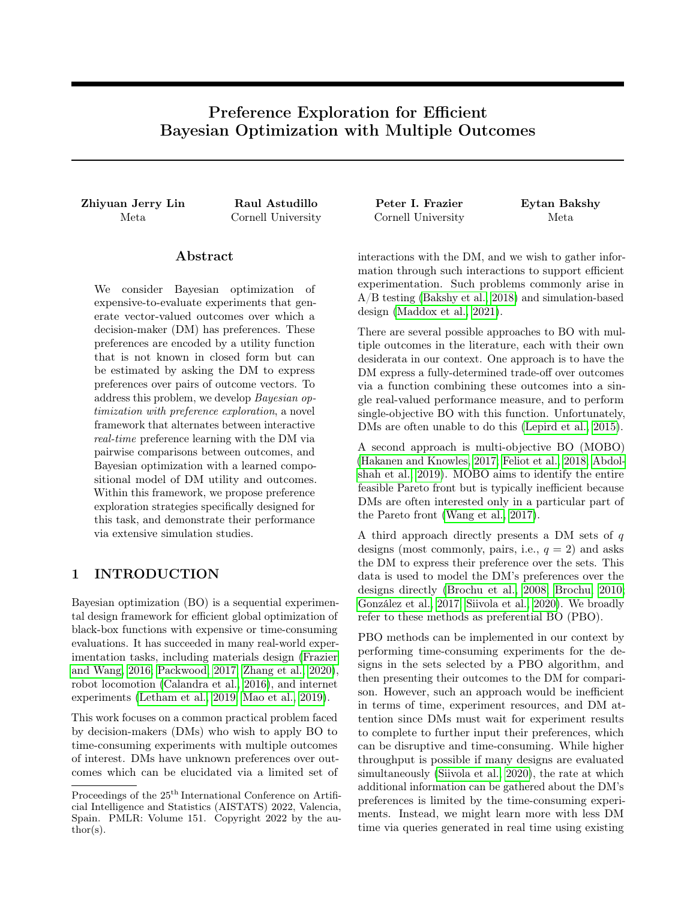

Figure 2: Mean utility of designs chosen according to maximum posterior predictive mean after a given number of pairwise comparisons during the first stage of preference exploration. CIs are 2 standard errors of the mean across 100 simulation replications.



Figure 3: Max utility achieved by interleaving batches of preference exploration and experimentation. "True Utility" shown in black represents an approximate upper bound on the performance achievable obtained via Bayesian optimization with known utility. CIs are 2 standard errors of the mean across 30 simulation replications.

test problems on anytime performance, while BALD- $\hat{f}$ achieves competitive but slightly inferior performance. EUBO- $Y_0$  tends to over-explore outcomes that are not achievable under  $f_{\text{true}}(X)$ , leading to models of g that are progressively less accurate estimates of the posterior maximizer of  $g_{true}(f_{true}($  )).

### 5.2 BOPE with Multiple PE Stages

We evaluate our proposed methods in a full BOPE loop with alternating rounds of experimentation and PE. After each experimentation stage, a PE stage is performed using a PE strategy. The learned preference model is then used to select designs for subsequent experiments. Each PE stage elicits 25 pairwise comparisons from the DM. This occurs over 3 rounds of experimentation, leading to a total of 75 comparisons.

Following the previous subsection, the first experimentation stage uses 32 points generated with a Sobol sequence for higher-dimensional outcome functions  $(d > 5)$ , and 16 otherwise. For each subsequent batch, PE is performed, a batch of 16 (or 8 for the vehicle safety problem) design points are generated for each subsequent experimentation stage (i.e., batches 2 - 4). PE strategies are used in combination with qNEIUU to select designs in batches 2-4. In addition to highperforming baselines examined in §5.1, we include a few additional baselines.

We adapt PBO to the BOPE setting as follows: For PE, we repeatedly apply PBO AFs to the results of previous experiments to elicit DM's responses over previously observed outcomes:  $(y_i, y_j)$  with  $y_i, y_j \n\geq f y$ :  $(x, y)$  2  $D_n$ )g. A standard GP model with a Laplace approximation is used to directly model the latent objective value; i.e., the mapping x  $\mathbb{Z}$  g<sub>true</sub>(f<sub>true</sub>(x)). We consider an adaptation of Thompson sampling, a popular AF used in the PBO literature (Siivola et al., 2020). This strategy is performed by selecting  $x \nightharpoonup D_n$ with the value based on independent samples from the posterior distribution of the latent objective. We refer to this strategy as PBO TS. Experiments are selected via a Monte Carlo implementation of the noisy expected improvement AF (Letham et al., 2019), qNEI. We also considered a PBO AF based on EUBO, but the results were similar to those of PBO TS.

We additionally consider the multi-objective optimization algorithm qNParEGO (Daulton et al., 2020), single-objective BO with the ground truth utility function (True Utility), and a strategy where we experiment with random Sobol design points, which are approximate upper and lower bounds on a PE strategy's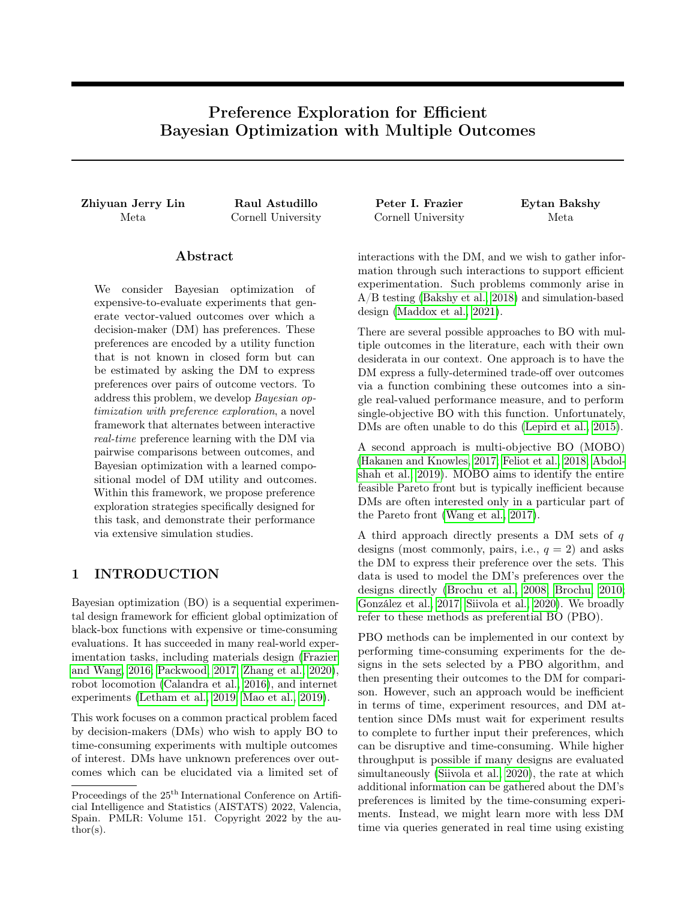

Figure 4: Max utility achieved a single round or multiple rounds of PE after the last experimentation batch. Outcomes are only marginally improved through the use of multiple PE stages for EUBO-based acquisition functions, but PBO-based strategies benefit greatly from the ability to elicit preferences across multiple rounds of experimentation. The opposite effect is seen for active learning strategies, which benefit most from conducting all learning upfront. Plots show mean and 2 standard errors of the mean for 30 simulation replicates.

performance. The True Utility is optimized with qNEI using a compositional objective (Astudillo and Frazier, 2019; Balandat et al., 2020).

Figure 3 shows that in all test functions presented here, BO using EUBO- $\zeta$  and EUBO- $\tilde{f}$  consistently achieves the highest utility, only second to the ground truth utility. In our experiments, we find that PBO-TS does not achieve the same level of performance as PE AFs. We also consider PE AFs that perform search directly in the entire  $Y_0$  domain in the SM. Similar to the previous set of experiments, search directly in  $Y_0$  tends to perform worse than search in  $f(X)$ .

#### 5.3 BOPE with a Single PE Stage

DM interruptions are costly in practice. Therefore, we consider the case in which an initial experimentation stage takes place, followed by a single 75-comparison PE stage, after which experimentation proceeds in 3 batches of the same size as §5.2.4

While performing PE only once minimizes DM interruptions, it may adversely impact the optimization since all learning occurs with a surrogate of a small amount of initial random design points. Figure 4 compares the maximum utility achieved after performing four batches of experimentation, when performing all PE after the first batch, vs performing PE between rounds of experimentation. For all PE-based methods, the maximum utilities achieved are not statistically different in both settings, suggesting they are robust to different levels of PE interactivity under our experimental setting. On the other hand, we observe rather significant improvements in maximum utility achieved with multiple PE stages for PBO-TS. In this case, we see that the best value achieved quickly plateaus after the second batch of experimentation (Figure 8 in SM).

# 6 CONCLUSION

BO is a prominent method for sequential experimental design, often promising to "take the human out of the loop" (Shahriari et al., 2015). However, in practice, human DMs often struggle to describe the objective they wish to optimize. This work proposes a novel humanin-the-loop BO framework with interleaved preference exploration stages called Bayesian optimization with preference exploration, where humans and algorithms collaborate to learn DMs' preferences over plausible outcomes for a particular black-box optimization task.

We propose EUBO, a simple and computationally efficient algorithm for exploring and learning the DM's preferences. These learned preferences in turn enable efficient search for designs whose outputs have high utilities via BO. We show that EUBO- $\zeta$  is an approximate one-step optimal policy for learning a DM's preferences with respect to our current knowledge of both the DM's utility function and the outcome function, which allows us to focus preference exploration on the most relevant parts of the outcome space with respect to the current data. EUBO provides query efficiency improvements relative to benchmark methods, finding higher utility designs while consuming less DM time and requiring fewer experiments.

This work suggests areas for future research. Realtime performance was enabled by approximate versions of the preference model and the optimal one-step optimal strategy W. State-of-the-art models such as SkewGPs (Benavoli et al., 2021), and more accurate approximations of  $W$  could potentially improve  $PE$ sample complexity while still supporting real-time interaction. BALD- $\tilde{f}$  is a strong and fast baseline, suggesting that new information-theoretic PE strategies could perform well in the BOPE framework.

Replication Material Code for replicating experiments in this paper is available at [https://github.](https://github.com/facebookresearch/preference-exploration) [com/facebookresearch/preference-exploration](https://github.com/facebookresearch/preference-exploration)

<sup>4</sup>The single PE stage approach makes it feasible to use smaller batch sizes or fully sequential optimization, but we use identical batch sizes to allow for more direct comparison.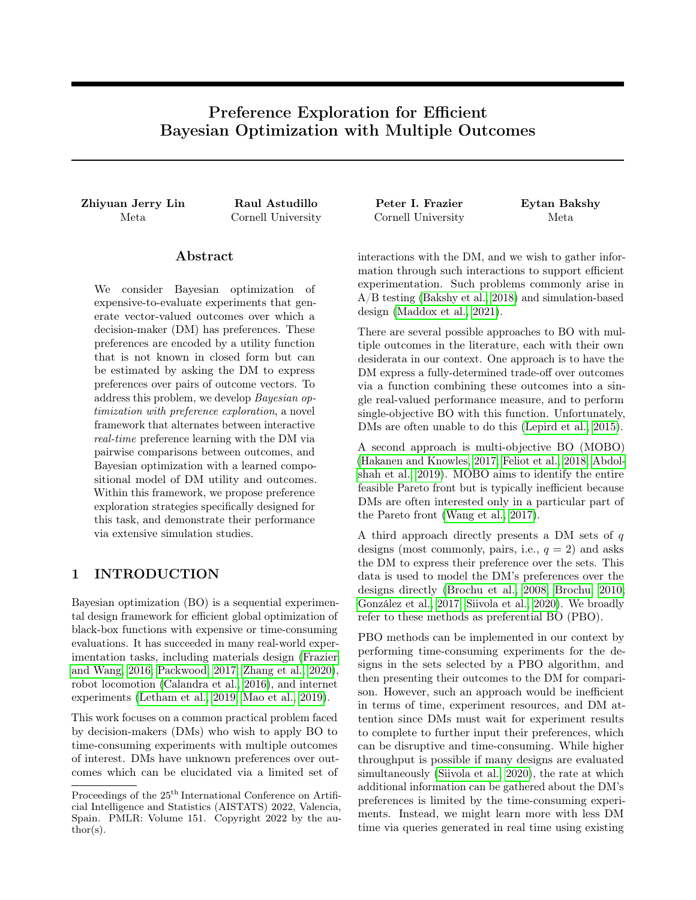#### Acknowledgements

PF and RA were supported by AFOSR FA9550-19-1- 0283. We thank the anonymous reviewers as well as Sait Cakmak, Sam Daulton, Daniel Jiang, Ben Letham, Yujia Zhang, and Yunxiang Zhang for their feedback on this work. We thank Max Balandat for his review and guidance in the implementation of the preference model used in this work. We also thank Michael Shvartsman for his Monte Carlo-based implementation of BALD.

### References

- Majid Abdolshah, Alistair Shilton, Santu Rana, Sunil Gupta, and Svetha Venkatesh. Multi-objective bayesian optimisation with preferences over objectives. In H. Wallach, H. Larochelle, A. Beygelzimer, F. d'Alché-Buc, E. Fox, and R. Garnett, editors, Advances in Neural Information Processing Systems 32, pages 12235–12245, 2019.
- Raul Astudillo and Peter Frazier. Multi-attribute bayesian optimization with interactive preference learning. In Silvia Chiappa and Roberto Calandra, editors, Proceedings of the Twenty Third International Conference on Artificial Intelligence and Statistics, volume 108 of Proceedings of Machine Learning Research, pages 4496–4507. PMLR, 2020.
- Raul Astudillo and Peter I. Frazier. Bayesian optimization of composite functions. In Kamalika Chaudhuri and Ruslan Salakhutdinov, editors, Proceedings of the 36th International Conference on Machine Learning, volume 97 of Proceedings of Machine Learning Research, pages 354–363. PMLR, 09–15 Jun 2019.
- Raul Astudillo and Peter I. Frazier. Bayesian optimization of function networks. In Advances in Neural Information Processing Systems 34, 2021a.
- Raul Astudillo and Peter I. Frazier. Thinking inside the box: A tutorial on grey-box Bayesian optimization. In Proceedings of the 2021 Winter Simulation Conference. Institute of Electrical and Electronics Engineers, Inc., 2021b.
- Eytan Bakshy, Lili Dworkin, Brian Karrer, Konstantin Kashin, Benjamin Letham, Ashwin Murthy, and Shaun Singh. AE: A domain-agnostic platform for adaptive experimentation. NeurIPS 2018 Systems for Machine Learning Workshop, 2018.
- Maximilian Balandat, Brian Karrer, Daniel R. Jiang, Samuel Daulton, Benjamin Letham, Andrew Gordon Wilson, and Eytan Bakshy. BoTorch: A Framework for Efficient Monte-Carlo Bayesian Optimization. In Advances in Neural Information Processing Systems 33, 2020.
- Alessio Benavoli, Dario Azzimonti, and Dario Piga. Preferential bayesian optimisation with skew gaus-

sian processes. In Proceedings of the Genetic and Evolutionary Computation Conference Companion, pages 1842–1850, 2021.

- Craig Boutilier. A POMDP formulation of preference elicitation problems. In Proceedings of the National Conference on Artificial Intelligence, pages 239–246, 2002.
- Eric Brochu. Interactive Bayesian optimization: learning user preferences for graphics and animation. PhD thesis, University of British Columbia, 2010.
- Eric Brochu, Nando D Freitas, and Abhijeet Ghosh. Active preference learning with discrete choice data. In J C Platt, D Koller, Y Singer, and S T Roweis, editors, Advances in Neural Information Processing Systems 20, pages 409–416. Curran Associates, Inc., 2008.
- Roberto Calandra, André Seyfarth, Jan Peters, and Marc Peter Deisenroth. Bayesian optimization for learning gaits under uncertainty. Annals of Mathematics and Artificial Intelligence, 76(1):5–23, 2016.
- Urszula Chajewska, Daphne Koller, and Ronald Parr. Making Rational Decisions using Adaptive Utility Elicitation. In Aaai/Iaai, pages 363—-369, 2000. ISBN 0-262-51112-6. doi: 10.1.1.34.6312.
- Seok-Ho Chang, Pamela C Cosman, and Laurence B Milstein. Chernoff-type bounds for the gaussian error function. IEEE Transactions on Communications, 59(11):2939–2944, 2011.
- Wei Chu and Zoubin Ghahramani. Preference learning with gaussian processes. In Proceedings of the 22Nd International Conference on Machine Learning, ICML '05, pages 137–144, New York, NY, USA, 2005. ACM.
- Samuel Daulton, Maximilian Balandat, and Eytan Bakshy. Differentiable expected hypervolume improvement for parallel multi-objective bayesian optimization. Advances in Neural Information Processing Systems, 33, 2020.
- Kalyanmoy Deb and Himanshu Jain. An evolutionary many-objective optimization algorithm using reference-point-based nondominated sorting approach, part i: solving problems with box constraints. IEEE transactions on evolutionary computation, 18 (4):577–601, 2013.
- Kalyanmoy Deb, Lothar Thiele, Marco Laumanns, and Eckart Zitzler. Scalable test problems for evolutionary multiobjective optimization. In Evolutionary multiobjective optimization, pages 105–145. Springer, 2005.
- Ian Dewancker, Michael McCourt, and Samuel Ainsworth. Interactive preference learning of utility functions for Multi-Objective optimization. December 2016.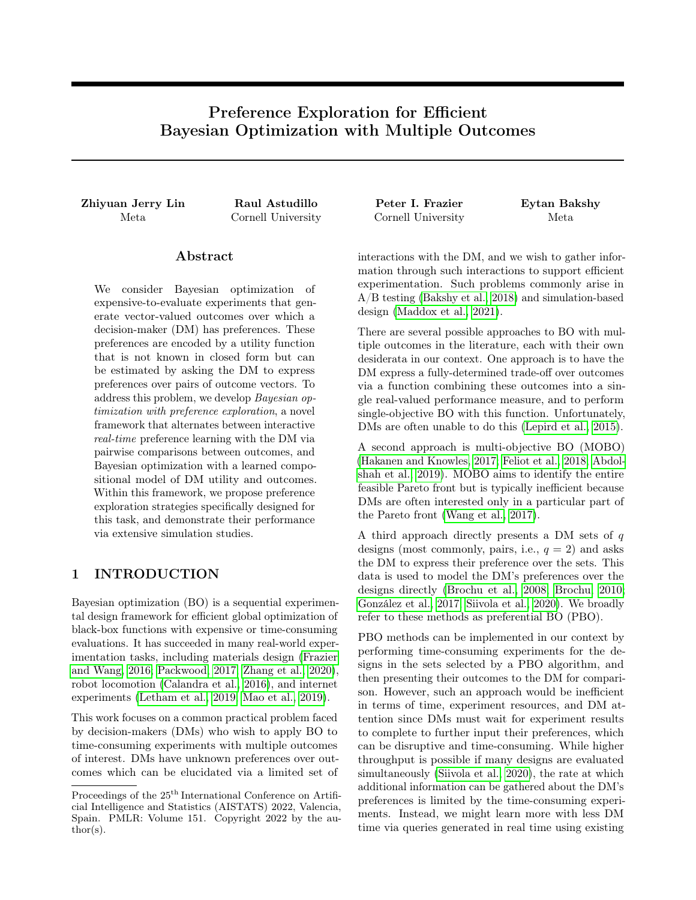- Paul Feliot, Julien Bect, and Emmanuel Vazquez. User preferences in bayesian multi-objective optimization: the expected weighted hypervolume improvement criterion. In International Conference on Machine Learning, Optimization, and Data Science, pages 533–544. Springer, 2018.
- Peter I Frazier. A tutorial on bayesian optimization. July 2018.
- Peter I Frazier and Jialei Wang. Bayesian optimization for materials design. In Information Science for Materials Discovery and Design, pages 45–75. Springer, 2016.
- Johannes Fürnkranz and Eyke Hüllermeier. Pairwise preference learning and ranking. In Machine Learning: ECML 2003, pages 145–156. Springer Berlin Heidelberg, 2003.
- Javier González, Zhenwen Dai, Andreas Damianou, and Neil D Lawrence. Preferential Bayesian optimization. In Doina Precup and Yee Whye Teh, editors, Proceedings of the 34th International Conference on Machine Learning, volume 70 of Proceedings of Machine Learning Research, pages 1282–1291, International Convention Centre, Sydney, Australia, 2017. PMLR.
- Jussi Hakanen and Joshua D Knowles. On using decision maker preferences with ParEGO. In Evolutionary Multi-Criterion Optimization, pages 282–297. Springer International Publishing, 2017.
- Neil Houlsby, Ferenc Huszár, Zoubin Ghahramani, and Máté Lengyel. Bayesian active learning for classification and preference learning. December 2011.
- Shali Jiang, Daniel Jiang, Maximilian Balandat, Brian Karrer, Jacob Gardner, and Roman Garnett. Efficient nonmyopic Bayesian optimization via oneshot multi-step trees. In H. Larochelle, M. Ranzato, R. Hadsell, and M. F. Balcan, editors, Advances in Neural Information Processing Systems 33, pages 18039–18049, 2020.
- MC Jones. Kumaraswamy's distribution: A beta-type distribution with some tractability advantages. Statistical methodology, 6(1):70–81, 2009.
- Ponnambalam Kumaraswamy. A generalized probability density function for double-bounded random processes. Journal of hydrology, 46(1-2):79–88, 1980.
- John R. Lepird, Michael P. Owen, and Mykel J. Kochenderfer. Bayesian preference elicitation for multiobjective engineering design optimization. Journal of Aerospace Information Systems, 12(10):634–645, 2015. ISSN 23273097. doi: 10.2514/1.I010363.
- Benjamin Letham, Brian Karrer, Guilherme Ottoni, Eytan Bakshy, et al. Constrained bayesian optimization with noisy experiments. Bayesian Analysis, 14 (2):495–519, 2019.
- Xingtao Liao, Qing Li, Xujing Yang, Weigang Zhang, and Wei Li. Multiobjective optimization for crash safety design of vehicles using stepwise regression model. Structural and multidisciplinary optimization, 35(6):561–569, 2008.
- Zhiyuan Jerry Lin, Adam Obeng, and Eytan Bakshy. Preference learning for real-world multi-objective decision making. In Workshop on Real World Experiment Design and Active Learning at ICML 2020, 2020.
- Wesley Maddox, Qing Feng, and Max Balandat. Optimizing high-dimensional physics simulations via composite bayesian optimization. NeurIPS Workshop on Machine Learning and the Physical Sciences, 2021.
- Hongzi Mao, Shannon Chen, Drew Dimmery, Shaun Singh, Drew Blaisdell, Yuandong Tian, Mohammad Alizadeh, and Eytan Bakshy. Real-world video adaptation with reinforcement learning. ICML 2019 Workshop on Reinforcement Learning for Real Life, 2019.
- Marcin Molga and Czesław Smutnicki. Test functions for optimization needs. Test functions for optimization needs, 101:48, 2005.
- Andrzej Osyczka and Sourav Kundu. A new method to solve generalized multicriteria optimization problems using the simple genetic algorithm. Structural optimization, 10(2):94–99, 1995.
- Art B. Owen. Scrambling Sobol' and Niederreiter-Xing points. Journal of Complexity, 14:466–489, 1998.
- Daniel Packwood. Bayesian Optimization for Materials Science. Springer, 2017.
- Ali Rahimi and Benjamin Recht. Random features for large-scale kernel machines. Advances in neural information processing systems, 20, 2007.
- Bobak Shahriari, Kevin Swersky, Ziyu Wang, Ryan P Adams, and Nando De Freitas. Taking the human out of the loop: A review of bayesian optimization. Proceedings of the IEEE, 104(1):148–175, 2015.
- Eero Siivola, Akash Kumar Dhaka, Michael Riis Andersen, Javier Gonzalez, Pablo Garcia Moreno, and Aki Vehtari. Preferential batch bayesian optimization. arXiv preprint arXiv:2003.11435, 2020.
- Ryoji Tanabe and Hisao Ishibuchi. An easy-to-use realworld multi-objective optimization problem suite. Applied Soft Computing, 89:106078, 2020.
- Paolo Viappiani and Craig Boutilier. Optimal bayesian recommendation sets and myopically optimal choice query sets. In NIPS, pages 2352–2360, 2010.
- Handing Wang, Markus Olhofer, and Yaochu Jin. A mini-review on preference modeling and articulation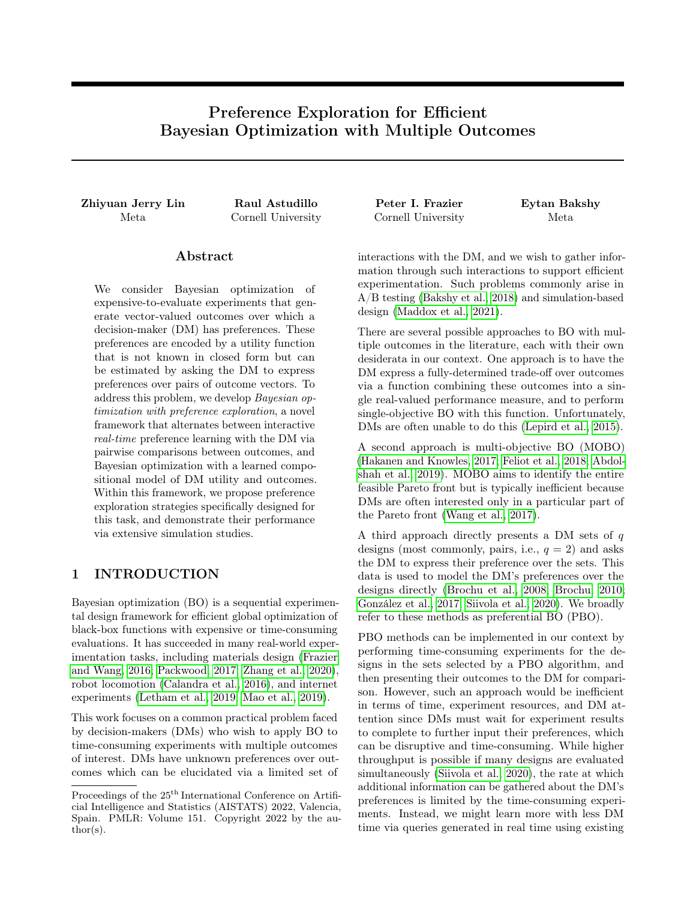in multi-objective optimization: current status and challenges. Complex & Intelligent Systems, 3(4): 233–245, 2017.

- James Wilson, Frank Hutter, and Marc Deisenroth. Maximizing acquisition functions for bayesian optimization. In Advances in Neural Information Processing Systems 31, pages 9905–9916. 2018.
- Yichi Zhang, Daniel W Apley, and Wei Chen. Bayesian optimization for materials design with mixed quantitative and qualitative variables. Scientific reports, 10(1):1–13, 2020.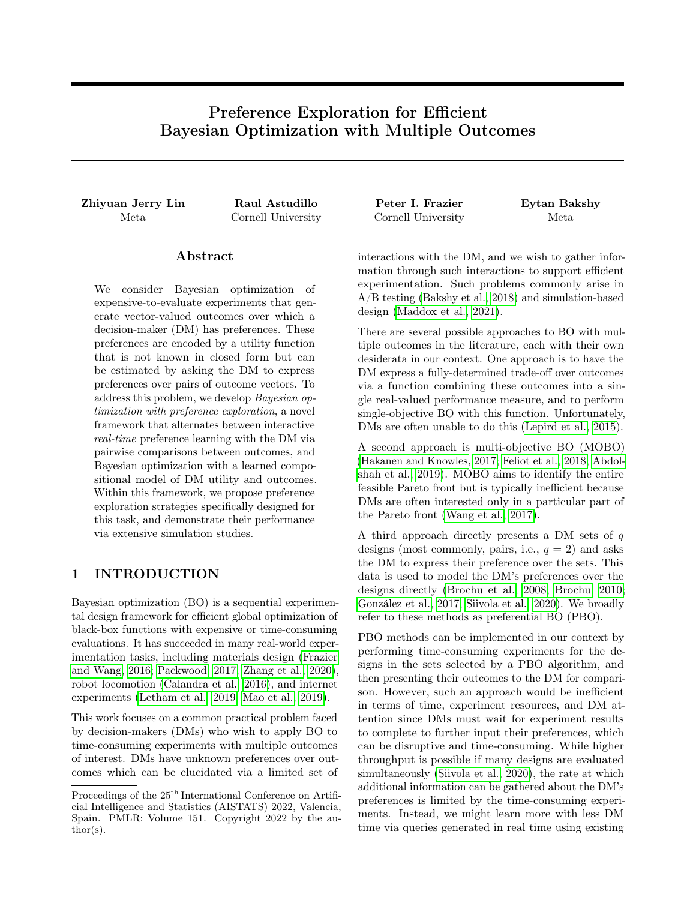# A DETAILS ON ACQUISITION FUNCTIONS

### A.1 Implementation of qNEIUU

Here we describe our approach to compute and optimize the qNEIUU acquisition function. Succinctly, we follow the approach of Balandat et al. (2020), which replaces the original acquisition function optimization problem with a sample average approximation (SAA). The samples used within this SAA are obtained by applying the reparameterization trick (Wilson et al., 2018) to the posterior distributions on  $f$  and  $g$ . The approximate computation of qNEIUU used within SAA is summarized in Algorithm 1. This is implemented in BoTorch (Balandat et al., 2020), and uses  $N_q = 8$  samples from g samples and  $N_f = 32$  samples from f. As is standard for BoTorch AFs, we use quasi-Monte Carlo samples obtained via scrambled Sobol' sequences (Owen, 1998). Optimization is performed via L-BFGS-B.

Algorithm 1 Computation of qNEIUU

**Require:** X, a batch of q design points to evaluate (a  $q$  d matrix);  $X_{\text{obs}}$ , the set of n previously observed, potentially noisily observed points (a n d matrix); f, a probabilistic surrogate model fitted on the experimental data  $D$  with k outcomes; g, a probabilistic preference model fitted on preference feedback dataset  $P$ ;  $N_f$ ,  $N_g$ , the number of MC samples from f and g; 1:  $[\tilde{Y}, \tilde{Y}_{obs}]$  Draw  $N_f$  samples from  $f([x, x_{obs}])$ #  $\tilde{Y}$  is a tensor of size  $N_f$  q k  $\#\ \tilde{Y}_{\text{obs}}$  is a tensor of size  $N_f$  p k 2:  $[\tilde{U}, \tilde{U}_{obs}]$  Draw  $N_g$  samples from  $g([\tilde{Y}, \tilde{Y}_{obs}])$  $\# \tilde{U}$  is a tensor of size  $N_g$   $N_f$  q  $\#\ \tilde{U}_{\text{obs}}$  is a tensor of size  $N_g$   $N_f$  p 3:  $U_{i,j}$  max $\sum_{i=1,\dots,q} \tilde{U}_{i,j}$ ; 4:  $U_{\text{obs }i;j}$  max $\sum_{j=1}^{\infty} \tilde{U}_{\text{obs }i;j}$ ; 5:  $\Delta_{ij} := fU_{ij}$   $U_{\text{obbs}ij}g^+$ 6: qNEIUU  $\frac{1}{N_gN_f}$   $i=1:N_g$   $j=1:N_f \Delta i,j$ 7: return qNEIUU

# A.2 Monte Carlo BALD

We leverage a novel MC implementation of BALD (Houlsby et al., 2011) that allows us to reparameterize the optimization of BALD in the design, rather than outcome space by propagating samples from  $f(x)$  through g into in our acquisition function. The computation of this acquisition function is summarized in Algorithm 2. Here, Φ is the standard normal CDF and  $H_b$  is the binary entropy function. This acquisition function is optimized via the standard BoTorch approach described in the previous subsection.

### **A.3** Uniform Sampling Over  $Y_0$

For the Uniform Random baseline, we need to empirically determine the bounds of each outcome. To do so, we first sample a large number of random points  $(10^8 \text{ in this case})$  in  $X \nleq X$ , and obtain an empirical sample of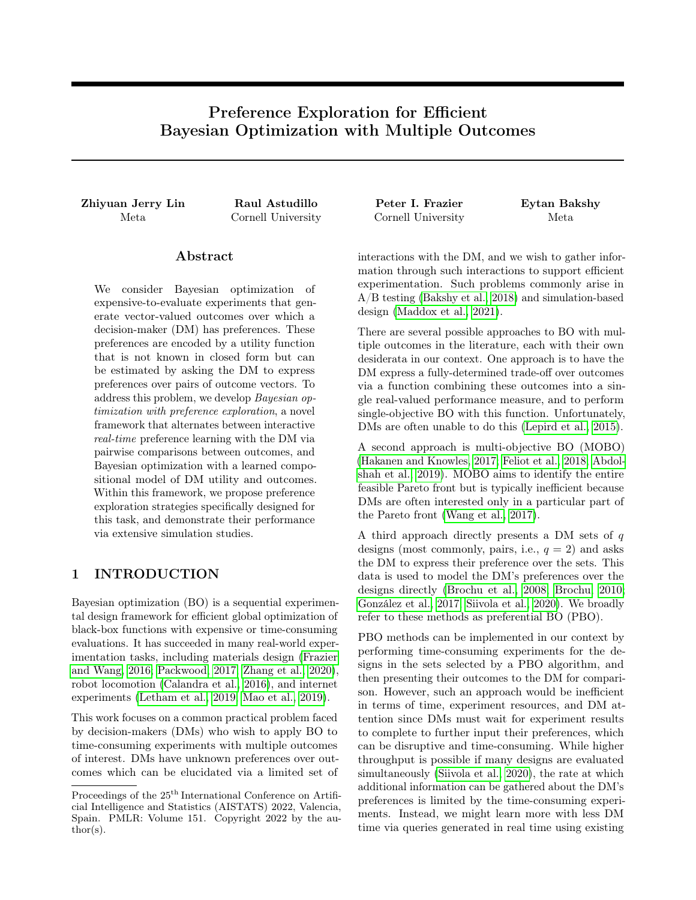| Algorithm $2$ MC-BALD with $\gamma$ search space                             |  |  |  |  |  |
|------------------------------------------------------------------------------|--|--|--|--|--|
| <b>Require:</b> $y_1, y_2$ , a pair of comparison design points to evaluate; |  |  |  |  |  |
| $q$ , a probabilistic preference model                                       |  |  |  |  |  |
| $N_{MC}$ , the number of MC samples;                                         |  |  |  |  |  |
| 1: $\mu, \sigma^2$ mean and var of $g(y_1)$ $g(y_2)$                         |  |  |  |  |  |
| 2: $z_{posterior} = \Phi(\overline{P_{\overline{-2+1}}})$                    |  |  |  |  |  |
| 3: $h_{\text{posterior}}$ $H_b(z_{\text{posterior}})$                        |  |  |  |  |  |
| 4: s Draw $N_{MC}$ samples from $N(\mu, \sigma^2)$                           |  |  |  |  |  |
| 5: $z_{\text{samples}}$ $\Phi(s)$                                            |  |  |  |  |  |
| 6: $h_{\text{conditional}}$ $H_b(z_{\text{samples}})$ .mean()                |  |  |  |  |  |
| 7: <b>return</b> $h_{\text{posterior}}$ $h_{\text{conditional}}$             |  |  |  |  |  |

 $Y = f_{\text{true}}(X)$  by evaluating the test response function. Then we are able to identify the empirical lower and upper of  $f_{\text{true}}$  in  $\mathbb{Y}$ , denoted as  $Y_{\text{min}}$  and  $Y_{\text{max}}$  respectively. Finally, we scale (up or down depending on its sign and whether it's lower or upper bound)  $Y_{\text{min}}$  and  $Y_{\text{max}}$  by 10% (or 20% if one side of the bound is 0) to include additional potential boundary values that are not captured by our sampling scheme. This provides a generous uniform prior over the achievable set when used as a baselines in our experiments.

# B THEORETICAL RESULTS

All probabilities and expectations in this section are with respect to the posterior distribution on  $g$  given  $m$  DM queries. Previously we used the notation  $\mathbb{E}_m$ , but here we drop the subindex m for brevity.

#### B.1 Proof of Theorem 1

**Theorem 1.** Suppose that Y is compact,  $\mu_m^g(y)$  and  $K_m^g(y, y)$  are continuous functions of y, and  $\lambda = 0$ . Then,

$$
\underset{y_1, y_2 \ge Y}{\text{argmax}} \text{EUBO}(y_1, y_2) \quad \underset{y_1, y_2 \ge \mathbb{R}^k}{\text{argmax}} \, V(y_1, y_2),\tag{2}
$$

and the left-hand side is non-empty.

*Proof.* We first observe that the left-hand side is non-empty since  $Y$  is compact and EUBO is continuous. Continuity of EUBO follows directly from the continuity of  $\mu_m^g$  and  $K_m^g$  along with (6) (note that  $\Delta\Phi(\Delta/\sigma)$  +  $\sigma\varphi(\Delta/\sigma)$  is continuous at  $\sigma=0$ ).

Recall that

$$
V(y_1, y_2) = \mathbb{E} \max_{y \ge Y} \mathbb{E} [g(y) \, j \, (y_1, y_2, r(y_1, y_2))] \max_{y \ge Y} \mathbb{E} [g(y)] .
$$

Since  $\max_{y \ge Y} \mathbb{E}[g(y)]$  does not depend on  $(y_1, y_2)$ , we have

$$
\underset{y_1, y_2 \supset \mathbb{R}^k}{\text{argmax}} V(y_1, y_2) = \underset{y_1, y_2 \supset \mathbb{R}^k}{\text{argmax}} W(y_1, y_2),
$$

where

$$
W(y_1, y_2) = \mathbb{E} \max_{y \ge Y} \mathbb{E} [g(y) \, j \, (y_1, y_2, r(y_1, y_2))].
$$

Thus, it suffices to show that

$$
\underset{y_1, y_2 \ge Y}{\text{argmax}} \text{EUBO}(y_1, y_2) \quad \underset{y_1, y_2 \ge \mathbb{R}^k}{\text{argmax}} \, W(y_1, y_2). \tag{3}
$$

To show (3), we rely on an idea from Viappiani and Boutilier (2010). For  $i \n\geq \mathcal{F}$ , 2g let

$$
y (y_1, y_2, i) 2 \operatorname*{argmax}_{y \ge Y} \mathbb{E}[g(y) j (y_1, y_2, i)].
$$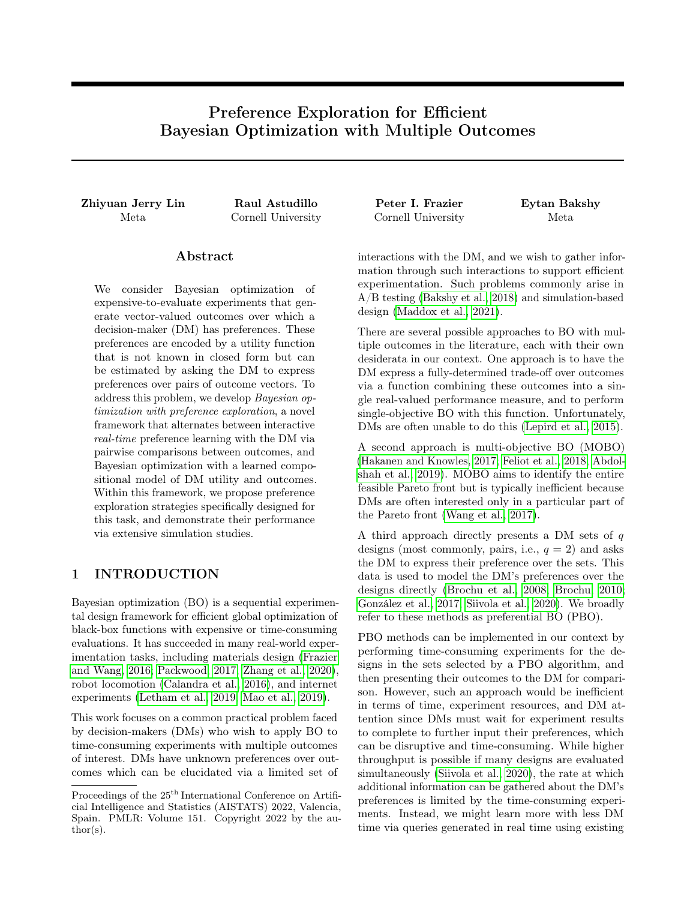Below, we show that

$$
EUBO(y (y_1, y_2, 1), y (y_1, y_2, 2)) W(y_1, y_2).
$$
\n
$$
(4)
$$

For generic  $y_1, y_2$ , we also have

$$
EUBO(y_1, y_2) \qquad W(y_1, y_2) \tag{5}
$$

,

 $\Box$ 

because the right-hand side is bounded below by replacing  $\max_{y} \mathbb{E}[g(y) \cdot (y_1, y_2, r(y_1, y_2))]$  by  $\mathbb{E}[g(y_{r(y_1, y_2)}) \cdot j$  $(y_1, y_2, r(y_1, y_2))$  in the definition of W, i.e., by using the item that the DM selected in the query as our estimate of the item that the DM most prefers.

With these inequalities established, let  $(y_1, y_2)$  be in the right-hand side of (3). Suppose for contradiction that  $(y_1, y_2)$  is not in the left-hand side of (3). Then there must be some  $(\tilde{y}_1, \tilde{y}_2)$  such that  $W(\tilde{y}_1, \tilde{y}_2) > W(y_1, y_2)$ .

Let  $\tilde{y}_i = y \; (\tilde{y}_1, \tilde{y}_2, i)$  for  $i = 1, 2$ . We have

$$
\begin{aligned} \text{EUBO}(\tilde{y}_1, \tilde{y}_2) & W(\tilde{y}_1, \tilde{y}_2) \\ & > W(y_1, y_2) \\ & \text{EUBO}(y_1, y_2) \\ & \text{EUBO}(\tilde{y}_1, \tilde{y}_2). \end{aligned}
$$

The first inequality is due to (4), which we show below. The second is due to our supposition for contradiction that  $(\tilde{y}_1, \tilde{y}_2)$  had a strictly larger value of W than  $(y_1, y_2)$ . The third is due to (5). The fourth is because  $(y_1, y_2)$ was chosen to maximize EUBO over  $Y - Y$  and because  $\tilde{y}_i \nightharpoonup Y$  for both  $i = 1, 2$ .

This is a contradiction. Thus, it must be that  $(y_1, y_2)$  is also in the left-hand side of (3).

It now remains to show that (4) holds. To this end, let  $y_i = y$   $(y_1, y_2, i)$ . Observe that

$$
W(y_1, y_2) = \bigcap_{i} \mathbb{P}(r(y_1, y_2) = i) \mathbb{E}[g(y_i)](y_1, y_2, i)]
$$

and  $g(y_i)$  max $fg(y_1), g(y_2)g$  for both  $i = 1, 2$ . Thus,

$$
W(y_1, y_2) = \bigvee_{i=1}^{n} \mathbb{P}(r(y_1, y_2) = i) \mathbb{E}[g(y_i)j(y_1, y_2, i)]
$$
  
\n
$$
\bigvee_{i=1}^{n} \mathbb{P}(r(y_1, y_2) = i) \mathbb{E}[\max f g(y_1), g(y_2) g j(y_1, y_2, i)]
$$
  
\n
$$
= \mathbb{E}[\max f g(y_1), g(y_2) g]
$$
  
\n
$$
= \mathbb{E}[\max f g(y_1), g(y_2) g]
$$

#### B.2 Proof of Theorem 2

Here we prove Theorem 2. First we introduce additional notation and prove several auxiliary lemmas. Definition 1. We define

EUBO 
$$
(y_1, y_2) = \mathbb{E}[g(y_{r(y_1, y_2)})],
$$

where  $r(y_1, y_2)$  is a random variable whose conditional distribution given  $g(y_1)$  and  $g(y_2)$  is given by

$$
\mathbb{P}(r(y_1, y_2) = 1 \mid g(y_1), g(y_2)) = \Phi \quad \frac{g(y_1)}{\overline{2}\lambda} \frac{g(y_2)}{\overline{2}\lambda}
$$

and  $\mathbb{P}(r(y_1, y_2) = 2 / g(y_1), g(y_2)) = 1$   $\mathbb{P}(r(y_1, y_2) = 1 / g(y_1), g(y_2)).$ 

Similarly, we also define

$$
V (y_1, y_2) = \mathbb{E} \max_{y \ge Y} \mathbb{E} [g(y) \, j (y_1, y_2, r(y_1, y_2))] \max_{y \ge Y} \mathbb{E} [g(y)] ,
$$

and

$$
W (y_1, y_2) = \mathbb{E} \max_{y \ge Y} \mathbb{E}[g(y) \, j (y_1, y_2, r(y_1, y_2))]
$$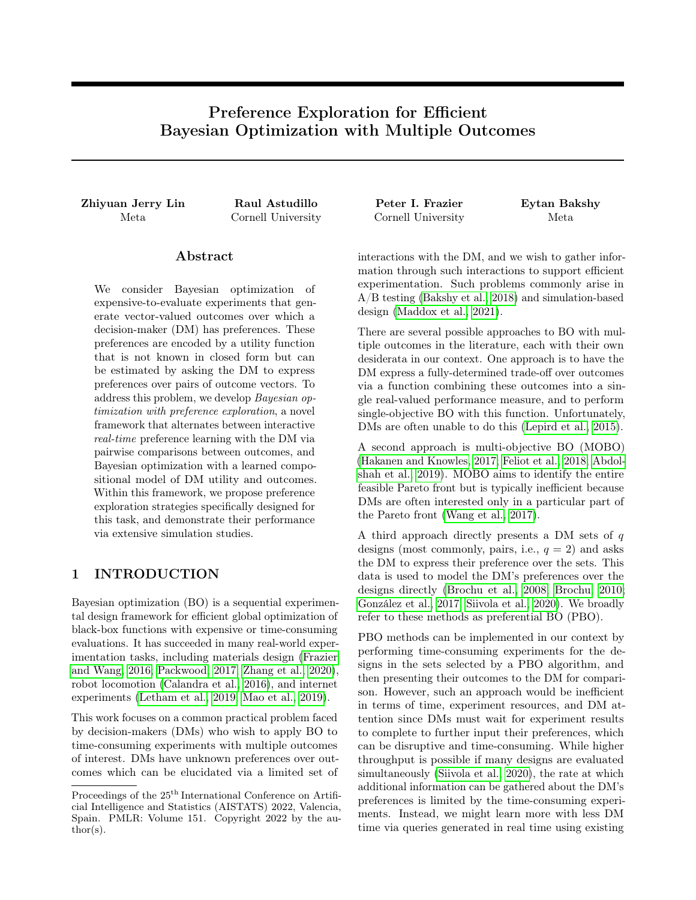The above definitions generalize the definitions of EUBO,  $V$ , and  $W$  to the case where the DM's responses are corrupted by probit noise.

The following inequality is key in our proof of Theorem 2.

**Lemma 1.** For any fixed  $r_1, r_2 \n\supset R$  and  $\lambda > 0$ ,

$$
\Phi \quad \frac{r_1}{\beta} \frac{r_2}{\overline{2}\lambda} \quad r_1 + \Phi \quad \frac{r_2}{\beta} \frac{r_1}{\overline{2}\lambda} \quad r_2 \quad \max \{r_1, r_2 g \quad \lambda C,
$$

where  $C = e^{-1}$ <sup>2</sup>/<sup>*D*</sup> 2.

*Proof.* Without loss of generality we may assume that  $r_1$  r<sub>2</sub>. Then, we want to prove that

$$
\Phi \quad \frac{r_1}{2\lambda} \frac{r_2}{r_1} + \Phi \quad \frac{r_2}{2\lambda} \frac{r_1}{r_2} \quad r_2 \quad r_1 \quad \lambda C,
$$

By recalling that  $\Phi(t) = 1$   $\Phi(t)$  for any  $t \, 2 \, \mathbb{R}$ , the inequality above can be further rewritten as

$$
\Phi \quad \frac{r_1}{\beta_2} \frac{r_2}{r_1} + 1 \quad \Phi \quad \frac{r_1}{\beta_2} \frac{r_2}{r_2} \quad r_2 \quad r_1 \quad \lambda C.
$$

Arranging terms and letting  $s = (r_1 \quad r_2)$ / p  $2\lambda$ , we obtain the equivalent inequality

$$
\stackrel{C}{\underset{2}{\rightarrow}} s\left[1 \quad \Phi(s)\right].
$$

Thus, it suffices to show that the above inequality holds for any  $s = 0$ . To this end, recall that

$$
\Phi(s) = \frac{1}{2} \mathsf{b} \, 1 + \text{erf} \, \left( \frac{s}{2} \right)^{\mathsf{i}},
$$

where erf is the Gauss error function. Thus, the above inequality is equivalent to

$$
\stackrel{C}{\ominus}_{\overline{2}} \quad \stackrel{s}{2} \text{erfc} \quad \stackrel{s}{2} \quad ,
$$

where erfc = 1 erf is the complementary Gaussian error function. Using the well-known inequality  $e^{-t^2}$  $erfc(t),$ which is valid for all  $t > 0$  (see, e.g., Chang et al. (2011)), it suffices to show that

$$
\stackrel{C}{\ominus}_{\overline{2}} \quad \frac{s}{2}e^{-\frac{s^2}{2}};
$$

i.e.,

$$
\frac{1}{2}e^{-\frac{1}{2}} - \frac{s}{2}e^{-\frac{s^2}{2}}.
$$

The above inequality can be easily verified by noting that the right-hand side reaches its maximum value at  $s=1$ .  $\Box$ 

The following result shows that the expected utility of a DM expressing responses corrupted by probit noise with parameter  $\lambda$  is close to that of a DM expressing noiseless responses.

**Lemma 2.** The following inequality holds for any  $y_1, y_2 \n\geq Y$  and  $\lambda > 0$ :

$$
EUBO (y_1, y_2) \quad EUBO_0(y_1, y_2) \quad \lambda C,
$$

where C is defined like in Lemma 1.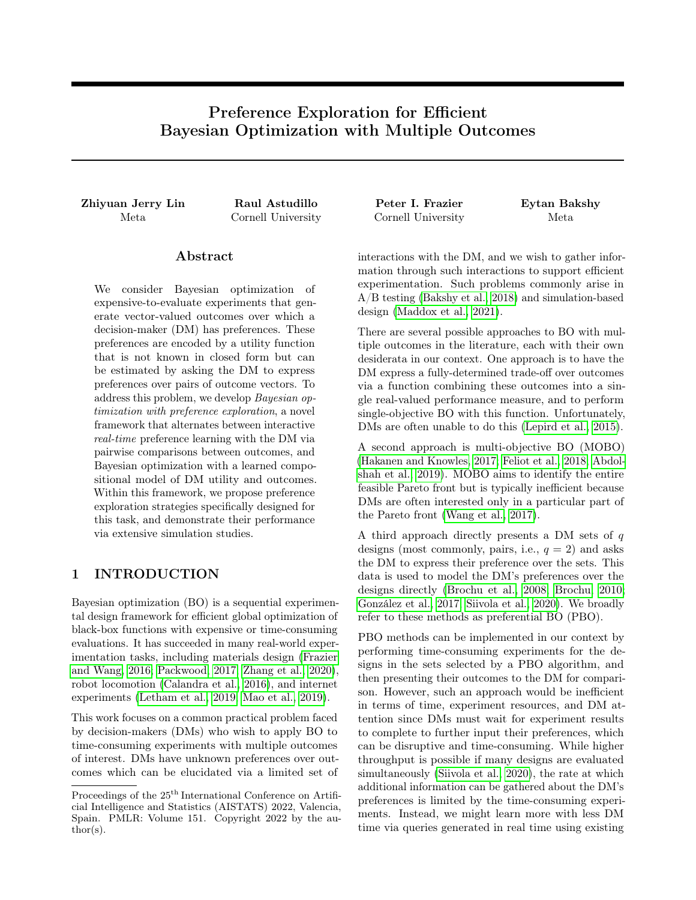Proof. Note that

$$
\mathbb{E}[g(y_{r(y_1,y_2)}) \, j \, g(y_1), g(y_2)] = \Phi \quad \frac{g(y_1)}{\partial \lambda} \frac{g(y_2)}{\partial \lambda} \quad g(y_1) + \Phi \quad \frac{g(y_2)}{\partial \lambda} \frac{g(y_1)}{\partial \lambda} \quad g(y_2).
$$

Hence, from Lemma 1 it follows that

$$
\mathbb{E}[g(y_{r(y_1:y_2)})\,j\,g(y_1),g(y_2)]\quad\max f_g(y_1),g(y_2)g\quad\lambda C.
$$

The desired result can now be obtained by taking expectations over  $g(y_1)$  and  $g(y_2)$  on both sides of the above inequality.  $\Box$ 

Our last lemma simply shows that the function W dominates EUBO for any  $\lambda > 0$ .

**Lemma 3.** The following inequality holds for any  $y_1, y_2 \n\geq Y$  and  $\lambda > 0$ :

$$
W(y_1, y_2)
$$
 EUBO  $(y_1, y_2)$ .

Proof. We have

$$
W (y_1, y_2) = \mathbb{E} \max_{y \ge Y} \mathbb{E}[g(y) \, j \, r(y_1, y_2)]
$$
  

$$
\mathbb{E} \mathbb{E}[g(y_{r(y_1, y_2)}) \, j \, r(y_1, y_2)]
$$
  

$$
= \mathbb{E}[g(y_{r(y_1, y_2)})]
$$
  

$$
= \mathbb{E} \text{UBO} (y_1, y_2).
$$

We are now in position to prove Theorem 2.

**Theorem 2.** Let  $(y_1, y_2)$  2 argmax<sub>y2 $\gamma$ </sub> EUBO $(y_1, y_2)$ . Then,

$$
V (y_1, y_2) \max_{y_1, y_2 \ge Y} V_0(y_1, y_2) \quad \lambda C,
$$

where C is defined like in Lemma 1.

Proof. We have

$$
W (y_1, y_2) \quad \text{EUBO} (y_1, y_2)
$$
  
\n
$$
\text{EUBO}_0(y_1, y_2) \quad \lambda C
$$
  
\n
$$
= \max_{y \ge Y} \text{EUBO}_0(y_1, y_2) \quad \lambda C
$$
  
\n
$$
= \max_{y \ge Y} W_0(y_1, y_2) \quad \lambda C,
$$

where the first line follows from Lemma 3, the second line follows from Lemma 2, the third line follows from the definition of  $(y_1, y_2)$ , and the fourth line follows from Theorem 1. The desired result can now be obtained by subtracting  $\max_{y \ge Y} \mathbb{E}[g(y)]$  from both sides of the inequality.  $\Box$ 

#### B.2.1 Closed Form Expression of EUBO Under a Gaussian Posterior

To compute EUBO in closed form, recall that  $\mu_m^g$  and  $K_m^g$  are the mean and posterior covariance of the approximate GP posterior after  $m$  queries. We rewrite EUBO as

EUBO(y<sub>1</sub>, y<sub>2</sub>) = 
$$
\mathbb{E}[fg(y_1) \quad g(y_2)g^+ + g(y_2)]
$$
  
=  $\mathbb{E}[fg(y_1) \quad g(y_2)g^+] + \mu_m^g(y_2).$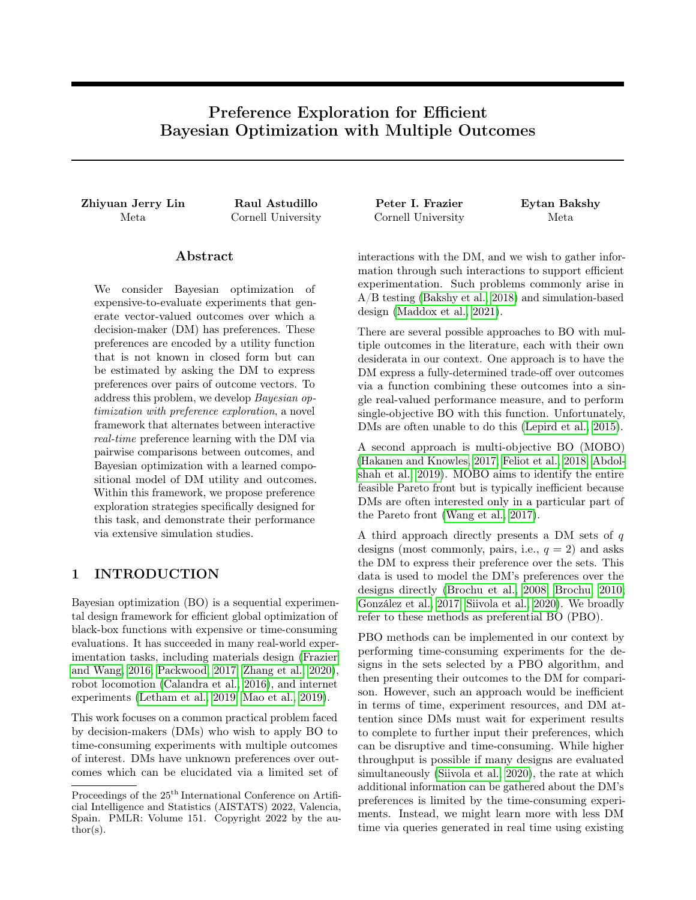Now let  $\Delta(y_1, y_2)$  and  $\sigma^2(y_1, y_2)$  be the mean and variance of  $g(y_1)$  g(y<sub>2</sub>):

$$
\Delta(y_1, y_2) = \mathbb{E}[g(y_1) \quad g(y_2)] = \mu_m^g(y_1) \quad \mu_m^g(y_2)
$$

and

$$
\sigma^{2}(y_{1}, y_{2}) = \text{Var}[g(y_{1}) \quad g(y_{2})]
$$
  
=  $K_{m}^{g}(y_{1}, y_{1}) + K_{m}^{g}(y_{2}, y_{2}) \quad 2K_{m}^{g}(y_{1}, y_{2}).$ 

Using the standard formula for the expectation of the positive part of a normal random variable with a given mean and variance, and dropping  $y_1, y_2$  from the arguments to  $\Delta$  and  $\sigma$  for brevity, we get

$$
\mathbb{E}[\hat{fg}(y_1) \quad g(y_2)g^+] = \Delta \Phi \quad \frac{\Delta}{\sigma} \quad + \sigma \varphi \quad \frac{\Delta}{\sigma}
$$

and thus

$$
EUBO(y_1, y_2) = \Delta \Phi \quad \frac{\Delta}{\sigma} \quad + \sigma \varphi \quad \frac{\Delta}{\sigma} \quad + \mu_m^g(y_2), \tag{6}
$$

,

where  $\varphi$  and  $\Phi$  are the standard normal PDF and CDF, respectively.

### C SIMULATION DESIGN AND IMPLEMENTATION DETAILS

#### C.1 Choice of Batch Sizes and Number of DM Queries

Our simulation experiments are configured to mimic aspects of real-world experiments in which DMs may wish to perform Bayesian optimization using preference models. To do this, we rely on pilot studies related to early versions of the PE strategies developed in this work. Participants in the pilots were data scientists and ML engineers at Meta who routinely used Bayesian optimization to tune recommender system ranking policies. Standard A/B tests consider a large number of number of initial design points that are on the order of 3-5x the number of input dimensions, which motivates the initial batch sizes used in our simulation experiments. Subsequent experiments tend to use approximately half the number of points. To decide on what a sensible number of preference queries would be, we analyzed data from the pilot study to find that participants spent on average 7.8-12.7 seconds to perform pairwise comparisons between between problems with fairly large numbers of outputs (see Table 1). Based on this, we would estimate that it would conservatively take DMs around 15 minutes to perform 75 comparisons, or 5 minutes per PE stage if split across three rounds of experimentation. Finally, we observed that the empirical error rate was approximately 10%, and so we used this value for our DM noise model in the MT.

| Pilot            | d | $k$ Response mean (s) Response sd (s) |     |
|------------------|---|---------------------------------------|-----|
|                  |   | 10.7                                  | 5.7 |
| 2                |   | 7.8                                   | 3.0 |
| $\boldsymbol{3}$ |   | 8.6                                   | 6.0 |
| 4                |   | 12.7                                  | 8.1 |
| 5                |   | 8.8                                   | 72  |
|                  |   |                                       |     |

Table 1: Summary statistics of input dimensionality  $(d)$ , number of outcomes  $(k)$ , and response times of data scientists in seconds to pairwise preference learning comparisons from pilot five studies.

# D ADDITIONAL SIMULATION RESULTS

#### D.1 Additional Test Problems

We consider additional simulation environments here. There are four outcome and utility function combinations presented in the main paper and additional four in the supplementary material, totalling eight simulation environments. These include surrogates of real-world simulators (Vehicle Safety and Car Cab Design) and widely used synthetic functions (OSY and DTLZ2), alongside various utility functions. These test problems have 5-8 input dimensions  $(d)$ , and 4-9 outcomes  $(k)$ . Table 3 shows the full list of simulation environments we used in this paper. §E describe those outcome and utility in detail.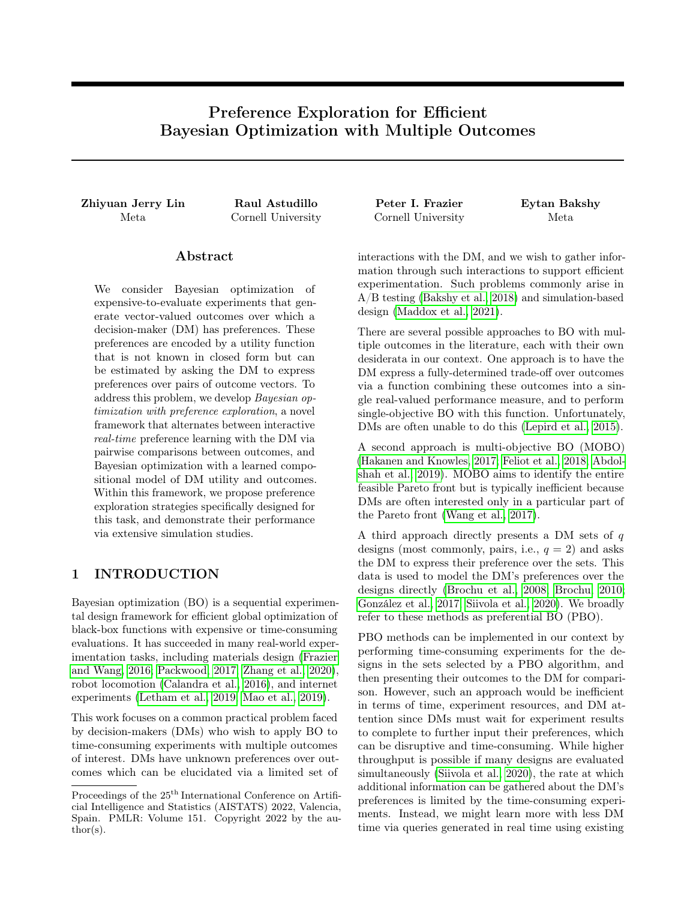### D.2 Identifying High-Utility Designs with Preference Exploration

Figure 5 Shows the experiment results for identifying high-utility designs with PE for all suite of test problems. While most results hold similar to what we observe in the main text, EUBO- $\zeta$  and EUBO-f are performing dramatically better compared to other methods in the OSY with exponential function sum with sigmoid constraints problem. This is possibly because of the unique characteristic of this problem where many points in  $Y$  are violating the constraints and result in near-zero values. Comparing those near-zero utility values, while potentially helpful for learning the shape of utility functions within the achievable region, is not necessarily contributing much to the identification of the maximizer of  $g_{true}(f_{true}(X))$ .



Figure 5: Simulation results for identifying high-utility designs with PE for all suite of test problems. Plotted are values of the maximum posterior predictive mean after a given number of pairwise comparisons during the first stage of preference exploration.

# D.3 Preference Exploration with Multiple PE Stages

BOPE with multiple stages for additional test problems are plotted in Figure 6. Figure 6 shows the results of BOPE with multiple PE stages, and the results largely align what we observe in the main text where EUBO-ζ and EUBO- $\tilde{f}$  consistently performing well across all problems.

# D.4 BOPE with One Preference Exploration Stage

Figure 7 directly shows the differences in final outcomes achieved by each method by comparing these two PE schemes. In addition to the insights from the main text, one can also see that PE AFs that perform search of  $Y_0$ , rather than based on the posterior of  $f$ , tend to perform much better when all learning occurs upfront. This makes intuitive sense, since  $Y_0$  is agnostic to any additional updated surrogate models  $f_n$  collected throughout the experimentation process.

Finally, Figure 8 shows the full optimization trajectory for the single PE stage case. From these plots it is apparent that PBO-based strategies make little progress in the optimization goal after the second stage.

### D.5 Probit Comparison Noise

In all simulation studies we have presented so far, we have been considering a constant  $10\%$  error rate. However, it is plausible that DMs may make errors in ways that vary with the utilities. Here, we consider the case where DMs are more likely to make mistakes when utilities have similar values, and study the behavior of the optimization strategies when such noise is present.

Concretely, we use the probit likelihood with noise level  $\lambda > 0$  introduced in §3.2. Thus, when the DM is presented with a query  $(y_1, y_2)$ ,  $y_1$  is chosen with probability  $\Phi \frac{g(y_1)}{2}$  and  $y_2$  is chosen with probability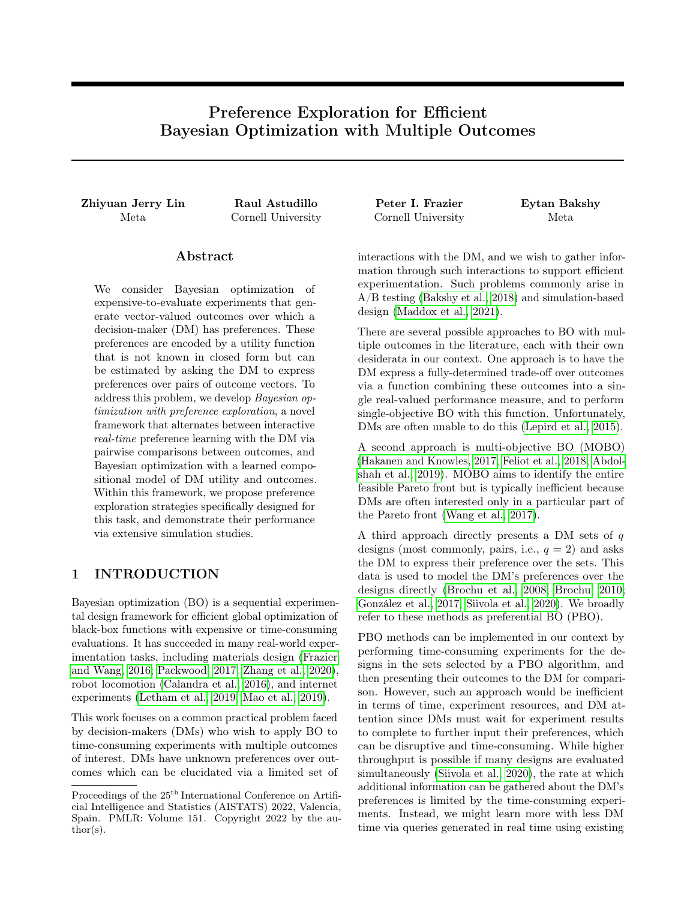

Figure 6: BOPE performance with multiple PE stages for all benchmark problems. "True Utility", the grey line on each plot, represents an approximate upper bound on the performance achievable via Bayesian optimization with a known utility function, blue and orange show our proposed methods, and other lines show competing baseline methods. The top row includes outcome and utility functions whose maximum utility achieved are plotted in the main paper in Figure 3 and the bottom row shows maximum utility achieved for the additional set of outcome and utility functions.



Figure 7: Maximum utility achieved after the last batch for BOPE with single PE stage and multiple PE stages for all benchmark problems.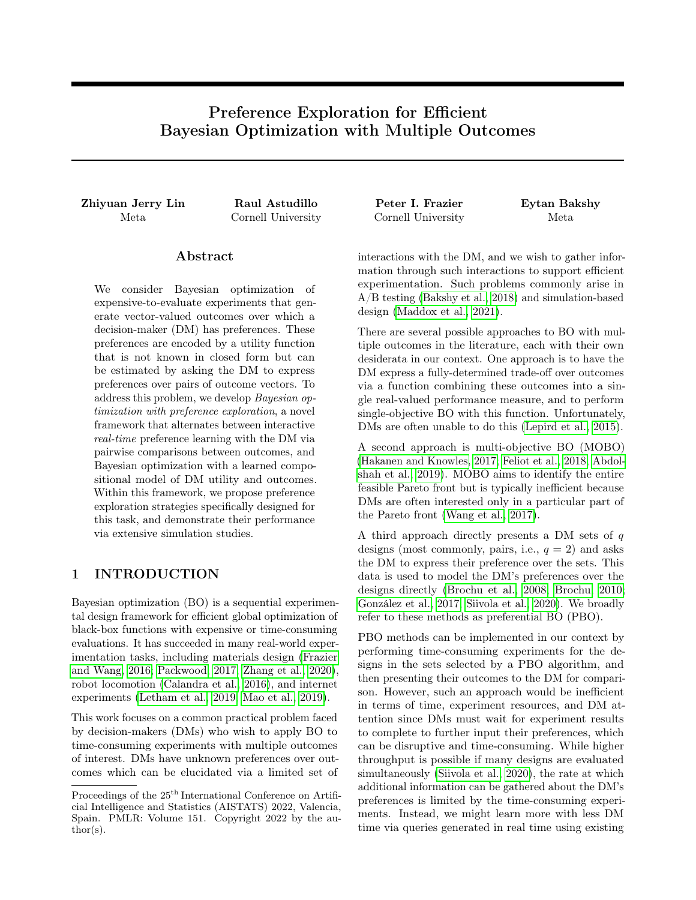1 Φ  $g(y_1)$   $g(y_2)$ 2<br>0.1 on average when presented with queries constituted by outcomes of designs that are in the top decile of . For each experiment we set  $\lambda$  so that the DM makes a comparison error with probability  $g_{\text{true}}(f_{\text{true}}(X))$ . Table 2 shows the average empirical comparison error rates observed under such probit noises.

Figure 9 shows optimization performance for BOPE with multiple PE stages for the four test problems presented in the main text using EUBO- $\tilde{f}$ , EUBO- $\zeta$ , BALD- $\tilde{f}$ , PBO TS, and PBO EUBO. Similar to what we observe in the main text, EUBO- $\zeta$  and EUBO- $\tilde{f}$  perform the same or better than all other PE and PBO baselines considered.



Figure 8: BOPE with a single PE stage full optimization trajectory for all benchmark problems.



Figure 9: BOPE with multiple PE stages under probit comparison noise.

| Test Problem                                | $BALD-f$ | EUBO- $\tilde{f}$ |          | EUBO-ζ PBO EUBO | PBO TS  |
|---------------------------------------------|----------|-------------------|----------|-----------------|---------|
| Vehicle safety, product of Kumaraswamy CDFs | 12.8%    | $5.1\%$           | $10.0\%$ | $7.9\%$         | $7.8\%$ |
| DTLZ2, L1 distance                          | $3.0\%$  | 7.0%              | $6.9\%$  | $9.1\%$         | $4.1\%$ |
| OSY, piece-wise linear                      | 11.3%    | $14.0\%$          | $20.1\%$ | 15.8%           | 8.0%    |
| Car cab design, piece-wise linear           | 12.1\%   | 8.5%              | 17.9%    | 10.2%           | 7.3%    |

Table 2: Empirical comparison error rate under probit noise levels considered in this subsection.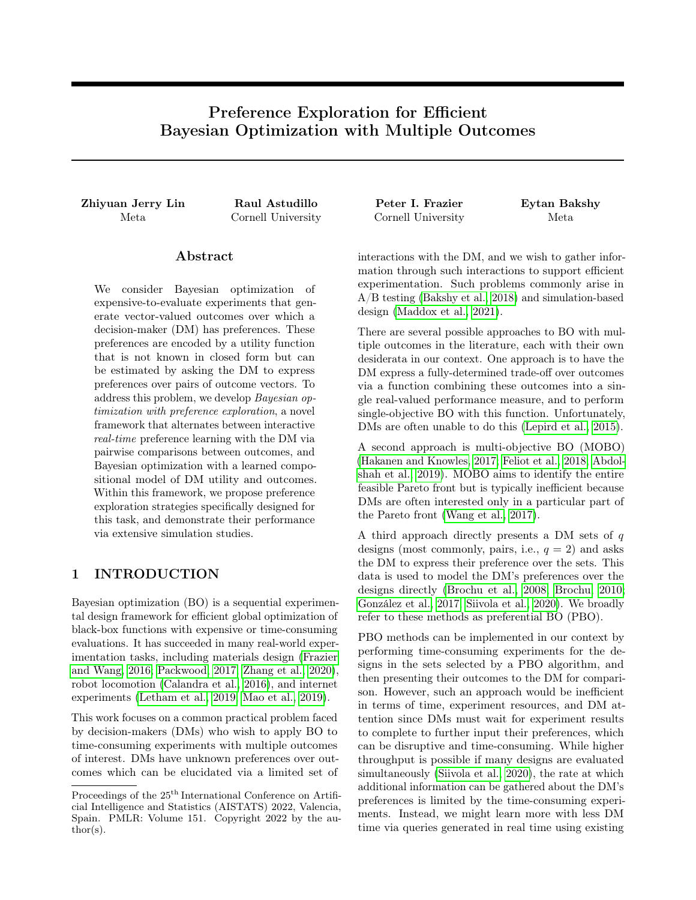# E OUTCOME AND UTILITY FUNCTIONS

In this section, we describe all outcome and utility functions used in our simulation studies.

#### E.1 Outcome Functions

#### E.1.1 DLTZ2

DTLZ2 function was first introduced by Deb et al. (2005), allowing for arbitrary input dimension d and output dimension k subject to  $d > k$ .  $\mathbb{X} = [0,1]^d$ . For a DLTZ2 function f with k-dimensional output, we have:

$$
m = d \quad k+1
$$
  
\n
$$
g(x) = \begin{cases} \n\frac{\cancel{x}}{i-m} & | \ x_i = 0.5 \end{cases}
$$
  
\n
$$
f_j(x) = (1 + g(x)) \begin{cases} \n\frac{\cancel{x}}{i-1} & \text{if } \ 1 & \text{if } \ 1 & \text{if } \ 1 & \text{if } \ 1 & \text{if } \ 1 & \text{if } \ 1 & \text{if } \ 1 & \text{if } \ 1 & \text{if } \ 1 & \text{if } \ 1 & \text{if } \ 1 & \text{if } \ 1 & \text{if } \ 1 & \text{if } \ 1 & \text{if } \ 1 & \text{if } \ 1 & \text{if } \ 1 & \text{if } \ 1 & \text{if } \ 1 & \text{if } \ 1 & \text{if } \ 1 & \text{if } \ 1 & \text{if } \ 1 & \text{if } \ 1 & \text{if } \ 1 & \text{if } \ 1 & \text{if } \ 1 & \text{if } \ 1 & \text{if } \ 1 & \text{if } \ 1 & \text{if } \ 1 & \text{if } \ 1 & \text{if } \ 1 & \text{if } \ 1 & \text{if } \ 1 & \text{if } \ 1 & \text{if } \ 1 & \text{if } \ 1 & \text{if } \ 1 & \text{if } \ 1 & \text{if } \ 1 & \text{if } \ 1 & \text{if } \ 1 & \text{if } \ 1 & \text{if } \ 1 & \text{if } \ 1 & \text{if } \ 1 & \text{if } \ 1 & \text{if } \ 1 & \text{if } \ 1 & \text{if } \ 1 & \text{if } \ 1 & \text{if } \ 1 & \text{if } \ 1 & \text{if } \ 1 & \text{if } \ 1 & \text{if } \ 1 & \text{if } \ 1 & \text{if } \ 1 & \text{if } \ 1 &
$$

#### E.1.2 Vehicle Safety

This a test problem for optimizing vehicle crash-worthiness with  $d = 5$  and  $k = 3$ .  $\mathbb{X} = [1,3]^5$ . We refer the readers to Tanabe and Ishibuchi (2020); Liao et al. (2008) for details on function definition. During the simulation, we normalize each component of  $f$  to lie between 0 and 1.

#### E.1.3 Car Cab Design

We refer the readers to Deb and Jain (2013); Tanabe and Ishibuchi (2020) for details. Note that in the original problem, there are stochastic components which we exclude in the experiments to obtain deterministic ground-truth outcome function. During the simulation, we normalize each dimension of f to between 0 and 1.

#### E.1.4 OSY

We adapted the constrained optimization OSY problem (Osyczka and Kundu, 1995) into a multi-objective problem by treating all constraints as objectives. We additionally flipped the signs of the two objectives of OSY such that all outputs are intended to be maximized. This adaptation makes OSY to be an outcome function with 6-dimensional inputs and 8-dimensional outputs.

#### E.2 Utility Functions

We consider several utility functions to capture several types of ways in which DMs may weigh the observed objective values. For all outcome functions, we consider piece-wise linear functions to represent constraint-like behavior and decreasing marginal returns. We then designed four separate utility functions by taking the characteristics of each individual test outcome function. Here we describe them in detail.

#### E.2.1 Piecewise Linear Function

We performed experiments on all test outcome functions using piece-wise linear functions as their shapes correspond to real-world diminishing marginal returns on outcomes and sharp declines in utility once constraints are violated. For a k-dimensional input vector y, this utility function  $q$  is defined as

$$
g(\mathbf{y}; \beta_1, \beta_2, \mathbf{t}) = \sum_{i=1}^{k} h_i(y_i)
$$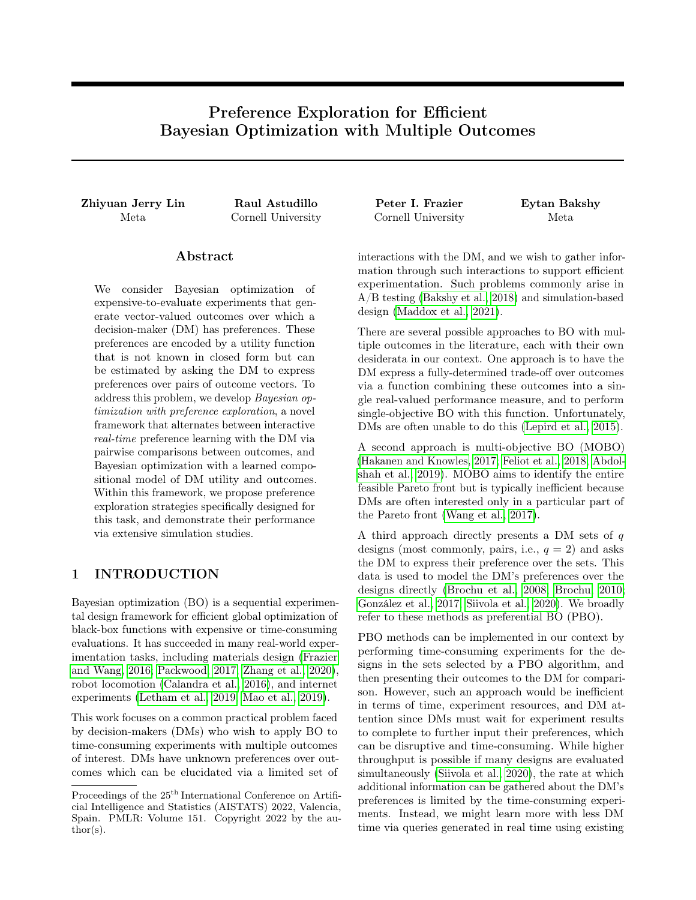where

$$
h_i(y_i) = \begin{cases} \beta_{1;i} & y_i + (\beta_{2;i} - \beta_{1;i})t_i & y_i < t_i \\ \beta_{2;i} & y_i & y_i \end{cases}
$$

For DTLZ2  $(d=8, k=4)$  problem, we set

$$
\beta_1 = [4, 3, 2, 1] \n\beta_2 = [0.4, 0.3, 0.2, 0.1] \n\mathbf{t} = [1, 1, 1, 1].
$$

For vehicle safety problem, we set

$$
\beta_1 = [2, 6, 8] \n\beta_2 = [1, 2, 2] \n\mathbf{t} = [0.5, 0.8, 0.8].
$$

For the car cab design problem, we set

$$
\beta_1 = [7.0, 6.75, 6.5, 6.25, 6.0, 5.75, 5.5, 5.25, 5.0]
$$
  
\n
$$
\beta_2 = [0.5, 0.4, 0.375, 0.35, 0.325, 0.3, 0.275, 0.25, 0.225]
$$
  
\n
$$
\mathbf{t} = [0.55, 0.54, 0.53, 0.52, 0.51, 0.5, 0.49, 0.48, 0.47]
$$

and the threshold parameter  $t_i = 0.75$  for all i.

For the OSY problem, we set

$$
\beta_1 = [0.02, 0.2, 10, 10, 10, 10, 10, 10]
$$
  
\n
$$
\beta_2 = [0.01, 0.1, 0.1, 0.1, 0.1, 0.1, 0.1, 0.1]
$$
  
\n
$$
\mathbf{t} = [1000, 100, 0, 0, 0, 0, 0, 0].
$$

#### E.2.2 Linear Function

For the car cab design problem, we experiment with a linear utility function. For a k-dimensional outcomes vector  $\mathbf{y}$ , this utility function g is defined as

$$
g(\mathbf{y};\beta) = \beta^T \mathbf{y}
$$

Specifically, we set

$$
\beta = [2.25, 2, 1.75, 1.5, 1.25, 1, 0.75, 0.5, 0.25].
$$

#### E.2.3 Product of Kumaraswamy Distribution CDFs

Prior work on preference learning has utilized the Beta CDF to form utility functions (Dewancker et al., 2016). The Beta CDF provides a convenient, bounded monotonic transform that smoothly varies between increasing and decreasing marginal gains with respect to their inputs. In this work, we utilize the Kumaraswamy CDF (Kumaraswamy, 1980; Jones, 2009), which behaves much like the Beta CDF, but is differentiable. This allows us to optimize qNEIUU via gradient ascent using the true utility function in Section 5. For the vehicle safety problem, we experiment with the product of Kumaraswamy distribution CDFs as its utility function, representing that we wish to simultaneously achieve high utility values along each individual dimension without sacrificing much on others. For a k-dimensional input vector  $\mathbf{y}$ , this utility function g is defined as

$$
g(\mathbf{y};\mathbf{a},\mathbf{b})=\bigvee_{i=1}^{\mathsf{K}} F_i(y_i),
$$

where  $F_i($ ) is the CDF of a Kumaraswamy distribution with shape parameters  $a_i$  and  $b_i$ .